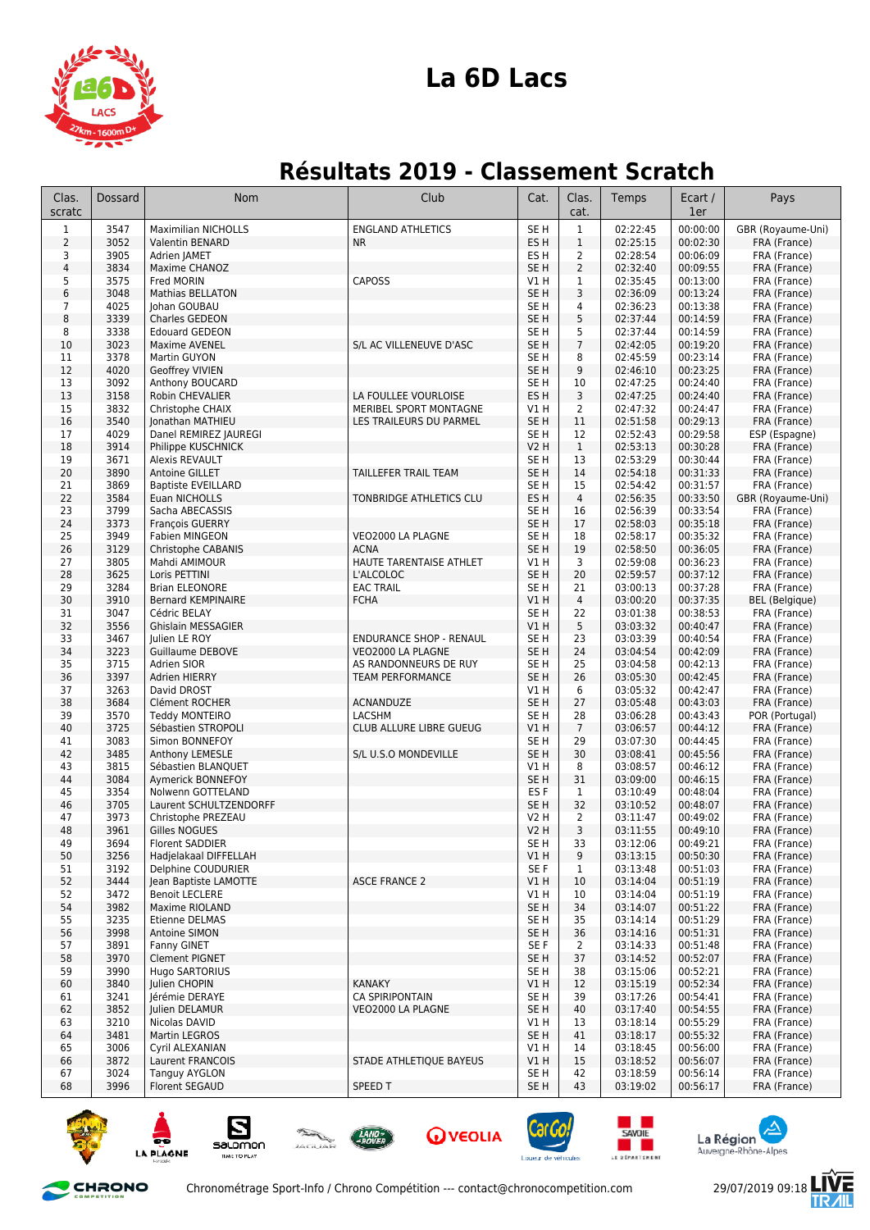

## **La 6D Lacs**

## **Résultats 2019 - Classement Scratch**

| Clas.<br>scratc | <b>Dossard</b> | Nom                                          | Club                                       | Cat.                               | Clas.<br>cat.        | Temps                | Ecart /<br>1er       | Pays                              |
|-----------------|----------------|----------------------------------------------|--------------------------------------------|------------------------------------|----------------------|----------------------|----------------------|-----------------------------------|
| $\mathbf{1}$    | 3547           | <b>Maximilian NICHOLLS</b>                   | <b>ENGLAND ATHLETICS</b>                   | SE <sub>H</sub>                    | $\mathbf{1}$         | 02:22:45             | 00:00:00             | GBR (Royaume-Uni)                 |
| $\overline{2}$  | 3052           | Valentin BENARD                              | <b>NR</b>                                  | ES H                               | $\mathbf 1$          | 02:25:15             | 00:02:30             | FRA (France)                      |
| 3               | 3905           | Adrien JAMET                                 |                                            | ES H                               | $\overline{2}$       | 02:28:54             | 00:06:09             | FRA (France)                      |
| $\sqrt{4}$      | 3834           | Maxime CHANOZ                                |                                            | SE <sub>H</sub>                    | $\overline{2}$       | 02:32:40             | 00:09:55             | FRA (France)                      |
| 5               | 3575           | Fred MORIN                                   | <b>CAPOSS</b>                              | V1 H                               | 1                    | 02:35:45             | 00:13:00             | FRA (France)                      |
| 6               | 3048           | <b>Mathias BELLATON</b>                      |                                            | SE <sub>H</sub>                    | 3                    | 02:36:09             | 00:13:24             | FRA (France)                      |
| $\overline{7}$  | 4025           | Johan GOUBAU                                 |                                            | SE <sub>H</sub>                    | 4                    | 02:36:23             | 00:13:38             | FRA (France)                      |
| 8               | 3339           | Charles GEDEON                               |                                            | SE <sub>H</sub>                    | 5                    | 02:37:44             | 00:14:59             | FRA (France)                      |
| 8               | 3338<br>3023   | <b>Edouard GEDEON</b><br>Maxime AVENEL       | S/L AC VILLENEUVE D'ASC                    | SE <sub>H</sub><br>SE <sub>H</sub> | 5<br>$\overline{7}$  | 02:37:44<br>02:42:05 | 00:14:59<br>00:19:20 | FRA (France)                      |
| 10<br>11        | 3378           | Martin GUYON                                 |                                            | SE <sub>H</sub>                    | 8                    | 02:45:59             | 00:23:14             | FRA (France)<br>FRA (France)      |
| 12              | 4020           | <b>Geoffrey VIVIEN</b>                       |                                            | SE <sub>H</sub>                    | 9                    | 02:46:10             | 00:23:25             | FRA (France)                      |
| 13              | 3092           | Anthony BOUCARD                              |                                            | SE <sub>H</sub>                    | 10                   | 02:47:25             | 00:24:40             | FRA (France)                      |
| 13              | 3158           | Robin CHEVALIER                              | LA FOULLEE VOURLOISE                       | ES <sub>H</sub>                    | 3                    | 02:47:25             | 00:24:40             | FRA (France)                      |
| 15              | 3832           | Christophe CHAIX                             | MERIBEL SPORT MONTAGNE                     | V1 H                               | 2                    | 02:47:32             | 00:24:47             | FRA (France)                      |
| 16              | 3540           | Jonathan MATHIEU                             | LES TRAILEURS DU PARMEL                    | SE <sub>H</sub>                    | 11                   | 02:51:58             | 00:29:13             | FRA (France)                      |
| 17              | 4029           | Danel REMIREZ JAUREGI                        |                                            | SE H                               | 12                   | 02:52:43             | 00:29:58             | ESP (Espagne)                     |
| 18              | 3914           | Philippe KUSCHNICK                           |                                            | <b>V2 H</b>                        | $\mathbf{1}$         | 02:53:13             | 00:30:28             | FRA (France)                      |
| 19              | 3671           | Alexis REVAULT                               |                                            | SE <sub>H</sub>                    | 13                   | 02:53:29             | 00:30:44             | FRA (France)                      |
| 20              | 3890           | Antoine GILLET                               | TAILLEFER TRAIL TEAM                       | SE <sub>H</sub>                    | 14                   | 02:54:18             | 00:31:33             | FRA (France)                      |
| 21<br>22        | 3869<br>3584   | <b>Baptiste EVEILLARD</b><br>Euan NICHOLLS   |                                            | SE <sub>H</sub><br>ES <sub>H</sub> | 15<br>$\overline{4}$ | 02:54:42<br>02:56:35 | 00:31:57<br>00:33:50 | FRA (France)                      |
| 23              | 3799           | Sacha ABECASSIS                              | TONBRIDGE ATHLETICS CLU                    | SE <sub>H</sub>                    | 16                   | 02:56:39             | 00:33:54             | GBR (Royaume-Uni)<br>FRA (France) |
| 24              | 3373           | François GUERRY                              |                                            | SE <sub>H</sub>                    | 17                   | 02:58:03             | 00:35:18             | FRA (France)                      |
| 25              | 3949           | Fabien MINGEON                               | VEO2000 LA PLAGNE                          | SE <sub>H</sub>                    | 18                   | 02:58:17             | 00:35:32             | FRA (France)                      |
| 26              | 3129           | Christophe CABANIS                           | <b>ACNA</b>                                | SE <sub>H</sub>                    | 19                   | 02:58:50             | 00:36:05             | FRA (France)                      |
| 27              | 3805           | Mahdi AMIMOUR                                | HAUTE TARENTAISE ATHLET                    | V1 H                               | 3                    | 02:59:08             | 00:36:23             | FRA (France)                      |
| 28              | 3625           | Loris PETTINI                                | L'ALCOLOC                                  | SE <sub>H</sub>                    | 20                   | 02:59:57             | 00:37:12             | FRA (France)                      |
| 29              | 3284           | <b>Brian ELEONORE</b>                        | <b>EAC TRAIL</b>                           | SE <sub>H</sub>                    | 21                   | 03:00:13             | 00:37:28             | FRA (France)                      |
| 30              | 3910           | <b>Bernard KEMPINAIRE</b>                    | <b>FCHA</b>                                | VIH                                | $\overline{4}$       | 03:00:20             | 00:37:35             | <b>BEL</b> (Belgique)             |
| 31              | 3047           | Cédric BELAY                                 |                                            | SE <sub>H</sub>                    | 22                   | 03:01:38             | 00:38:53             | FRA (France)                      |
| 32              | 3556           | <b>Ghislain MESSAGIER</b>                    |                                            | V1H                                | 5                    | 03:03:32             | 00:40:47             | FRA (France)                      |
| 33              | 3467           | Julien LE ROY                                | <b>ENDURANCE SHOP - RENAUL</b>             | SE <sub>H</sub>                    | 23                   | 03:03:39             | 00:40:54             | FRA (France)                      |
| 34<br>35        | 3223<br>3715   | Guillaume DEBOVE<br>Adrien SIOR              | VEO2000 LA PLAGNE<br>AS RANDONNEURS DE RUY | SE <sub>H</sub><br>SE <sub>H</sub> | 24<br>25             | 03:04:54<br>03:04:58 | 00:42:09<br>00:42:13 | FRA (France)<br>FRA (France)      |
| 36              | 3397           | Adrien HIERRY                                | <b>TEAM PERFORMANCE</b>                    | SE <sub>H</sub>                    | 26                   | 03:05:30             | 00:42:45             | FRA (France)                      |
| 37              | 3263           | David DROST                                  |                                            | V1 H                               | 6                    | 03:05:32             | 00:42:47             | FRA (France)                      |
| 38              | 3684           | Clément ROCHER                               | ACNANDUZE                                  | SE <sub>H</sub>                    | 27                   | 03:05:48             | 00:43:03             | FRA (France)                      |
| 39              | 3570           | <b>Teddy MONTEIRO</b>                        | LACSHM                                     | SE H                               | 28                   | 03:06:28             | 00:43:43             | POR (Portugal)                    |
| 40              | 3725           | Sébastien STROPOLI                           | CLUB ALLURE LIBRE GUEUG                    | V1 H                               | $\overline{7}$       | 03:06:57             | 00:44:12             | FRA (France)                      |
| 41              | 3083           | Simon BONNEFOY                               |                                            | SE H                               | 29                   | 03:07:30             | 00:44:45             | FRA (France)                      |
| 42              | 3485           | Anthony LEMESLE                              | S/L U.S.O MONDEVILLE                       | SE <sub>H</sub>                    | 30                   | 03:08:41             | 00:45:56             | FRA (France)                      |
| 43              | 3815           | Sébastien BLANQUET                           |                                            | V1 H                               | 8                    | 03:08:57             | 00:46:12             | FRA (France)                      |
| 44              | 3084           | Aymerick BONNEFOY                            |                                            | SE <sub>H</sub>                    | 31                   | 03:09:00             | 00:46:15             | FRA (France)                      |
| 45              | 3354<br>3705   | Nolwenn GOTTELAND                            |                                            | ES <sub>F</sub><br>SE <sub>H</sub> | 1                    | 03:10:49             | 00:48:04             | FRA (France)                      |
| 46<br>47        | 3973           | Laurent SCHULTZENDORFF<br>Christophe PREZEAU |                                            | V2 H                               | 32<br>$\overline{2}$ | 03:10:52<br>03:11:47 | 00:48:07<br>00:49:02 | FRA (France)<br>FRA (France)      |
| 48              | 3961           | Gilles NOGUES                                |                                            | <b>V2 H</b>                        | 3                    | 03:11:55             | 00:49:10             | FRA (France)                      |
| 49              | 3694           | Florent SADDIER                              |                                            | SE H                               | 33                   | 03:12:06             | 00:49:21             | FRA (France)                      |
| 50              | 3256           | Hadjelakaal DIFFELLAH                        |                                            | V1H                                | 9                    | 03:13:15             | 00:50:30             | FRA (France)                      |
| 51              | 3192           | Delphine COUDURIER                           |                                            | SE F                               | $\mathbf{1}$         | 03:13:48             | 00:51:03             | FRA (France)                      |
| 52              | 3444           | Jean Baptiste LAMOTTE                        | <b>ASCE FRANCE 2</b>                       | V1 H                               | 10                   | 03:14:04             | 00:51:19             | FRA (France)                      |
| 52              | 3472           | <b>Benoit LECLERE</b>                        |                                            | V1 H                               | 10                   | 03:14:04             | 00:51:19             | FRA (France)                      |
| 54              | 3982           | Maxime RIOLAND                               |                                            | SE <sub>H</sub>                    | 34                   | 03:14:07             | 00:51:22             | FRA (France)                      |
| 55              | 3235           | Etienne DELMAS                               |                                            | SE <sub>H</sub>                    | 35                   | 03:14:14             | 00:51:29             | FRA (France)                      |
| 56              | 3998           | Antoine SIMON                                |                                            | SE <sub>H</sub>                    | 36                   | 03:14:16             | 00:51:31             | FRA (France)                      |
| 57<br>58        | 3891<br>3970   | Fanny GINET<br><b>Clement PIGNET</b>         |                                            | SE F<br>SE <sub>H</sub>            | $\overline{2}$<br>37 | 03:14:33<br>03:14:52 | 00:51:48<br>00:52:07 | FRA (France)<br>FRA (France)      |
| 59              | 3990           | <b>Hugo SARTORIUS</b>                        |                                            | SE H                               | 38                   | 03:15:06             | 00:52:21             | FRA (France)                      |
| 60              | 3840           | Julien CHOPIN                                | <b>KANAKY</b>                              | V1 H                               | 12                   | 03:15:19             | 00:52:34             | FRA (France)                      |
| 61              | 3241           | Jérémie DERAYE                               | <b>CA SPIRIPONTAIN</b>                     | SE H                               | 39                   | 03:17:26             | 00:54:41             | FRA (France)                      |
| 62              | 3852           | Julien DELAMUR                               | VEO2000 LA PLAGNE                          | SE H                               | 40                   | 03:17:40             | 00:54:55             | FRA (France)                      |
| 63              | 3210           | Nicolas DAVID                                |                                            | V1 H                               | 13                   | 03:18:14             | 00:55:29             | FRA (France)                      |
| 64              | 3481           | Martin LEGROS                                |                                            | SE <sub>H</sub>                    | 41                   | 03:18:17             | 00:55:32             | FRA (France)                      |
| 65              | 3006           | Cyril ALEXANIAN                              |                                            | V1 H                               | 14                   | 03:18:45             | 00:56:00             | FRA (France)                      |
| 66              | 3872           | Laurent FRANCOIS                             | STADE ATHLETIQUE BAYEUS                    | V1 H                               | 15                   | 03:18:52             | 00:56:07             | FRA (France)                      |
| 67              | 3024<br>3996   | <b>Tanguy AYGLON</b>                         | SPEED T                                    | SE H                               | 42<br>43             | 03:18:59             | 00:56:14             | FRA (France)                      |
| 68              |                | Florent SEGAUD                               |                                            | SE <sub>H</sub>                    |                      | 03:19:02             | 00:56:17             | FRA (France)                      |

















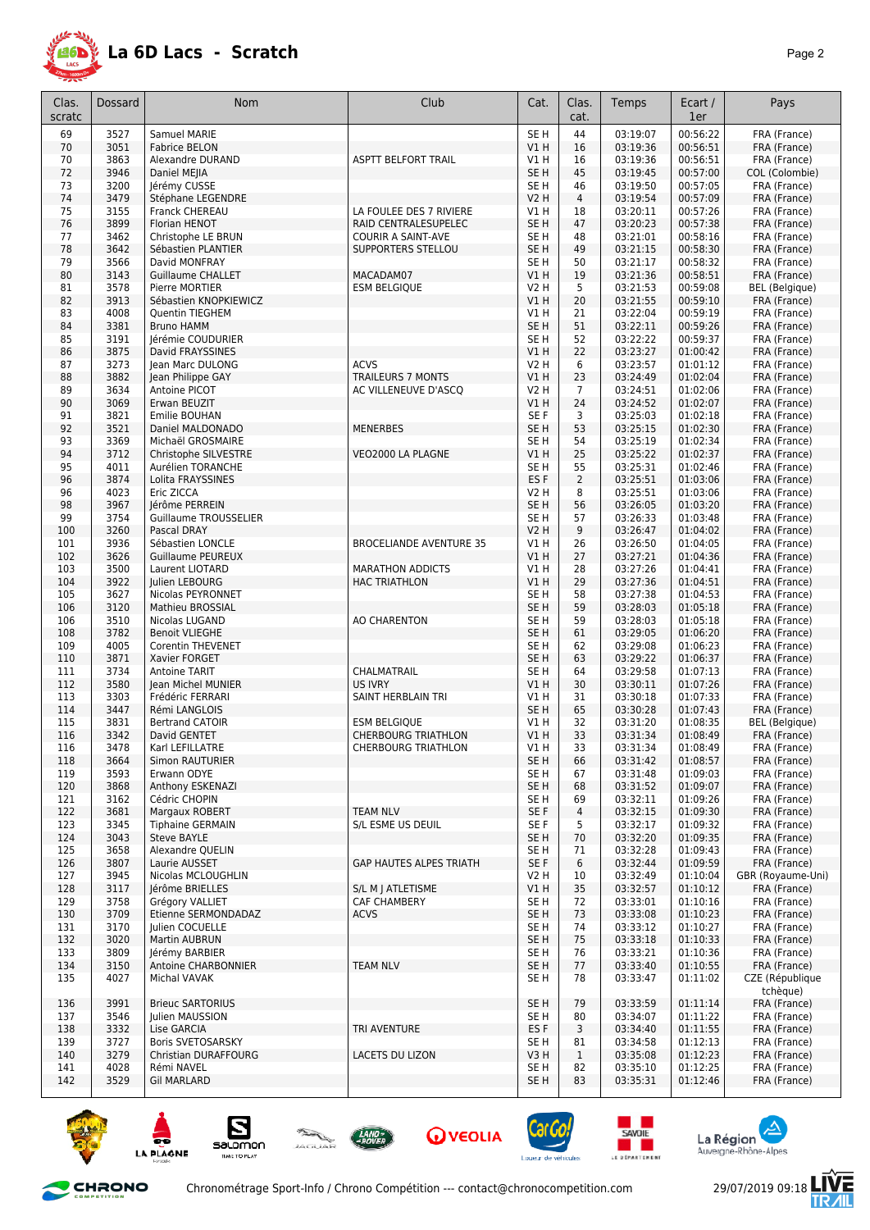

| Clas.<br>scratc | Dossard      | <b>Nom</b>                                  | Club                           | Cat.                           | Clas.<br>cat.        | Temps                | Ecart /<br>1er       | Pays                         |
|-----------------|--------------|---------------------------------------------|--------------------------------|--------------------------------|----------------------|----------------------|----------------------|------------------------------|
| 69              | 3527         | Samuel MARIE                                |                                | SE <sub>H</sub>                | 44                   | 03:19:07             | 00:56:22             | FRA (France)                 |
| 70              | 3051         | <b>Fabrice BELON</b>                        |                                | V1H                            | 16                   | 03:19:36             | 00:56:51             | FRA (France)                 |
| 70              | 3863         | Alexandre DURAND                            | <b>ASPTT BELFORT TRAIL</b>     | V1H                            | 16                   | 03:19:36             | 00:56:51             | FRA (France)                 |
| 72              | 3946         | <b>Daniel MEIIA</b>                         |                                | SE <sub>H</sub>                | 45                   | 03:19:45             | 00:57:00             | COL (Colombie)               |
| 73<br>74        | 3200<br>3479 | Jérémy CUSSE<br>Stéphane LEGENDRE           |                                | SE <sub>H</sub><br><b>V2 H</b> | 46<br>$\overline{4}$ | 03:19:50<br>03:19:54 | 00:57:05<br>00:57:09 | FRA (France)<br>FRA (France) |
| 75              | 3155         | Franck CHEREAU                              | LA FOULEE DES 7 RIVIERE        | V1 H                           | 18                   | 03:20:11             | 00:57:26             | FRA (France)                 |
| 76              | 3899         | Florian HENOT                               | RAID CENTRALESUPELEC           | SE <sub>H</sub>                | 47                   | 03:20:23             | 00:57:38             | FRA (France)                 |
| 77              | 3462         | Christophe LE BRUN                          | COURIR A SAINT-AVE             | SE <sub>H</sub>                | 48                   | 03:21:01             | 00:58:16             | FRA (France)                 |
| 78              | 3642         | Sébastien PLANTIER                          | SUPPORTERS STELLOU             | SE <sub>H</sub>                | 49                   | 03:21:15             | 00:58:30             | FRA (France)                 |
| 79              | 3566         | David MONFRAY                               |                                | SE <sub>H</sub>                | 50                   | 03:21:17             | 00:58:32             | FRA (France)                 |
| 80              | 3143         | <b>Guillaume CHALLET</b>                    | MACADAM07                      | VIH                            | 19                   | 03:21:36             | 00:58:51             | FRA (France)                 |
| 81              | 3578         | Pierre MORTIER                              | <b>ESM BELGIQUE</b>            | <b>V2 H</b>                    | 5                    | 03:21:53             | 00:59:08             | <b>BEL</b> (Belgique)        |
| 82              | 3913         | Sébastien KNOPKIEWICZ                       |                                | V1H                            | 20                   | 03:21:55             | 00:59:10             | FRA (France)                 |
| 83<br>84        | 4008<br>3381 | <b>Quentin TIEGHEM</b><br><b>Bruno HAMM</b> |                                | V1 H<br>SE <sub>H</sub>        | 21<br>51             | 03:22:04<br>03:22:11 | 00:59:19<br>00:59:26 | FRA (France)<br>FRA (France) |
| 85              | 3191         | Jérémie COUDURIER                           |                                | SE H                           | 52                   | 03:22:22             | 00:59:37             | FRA (France)                 |
| 86              | 3875         | David FRAYSSINES                            |                                | V1 H                           | 22                   | 03:23:27             | 01:00:42             | FRA (France)                 |
| 87              | 3273         | Jean Marc DULONG                            | <b>ACVS</b>                    | <b>V2 H</b>                    | 6                    | 03:23:57             | 01:01:12             | FRA (France)                 |
| 88              | 3882         | Jean Philippe GAY                           | <b>TRAILEURS 7 MONTS</b>       | V1 H                           | 23                   | 03:24:49             | 01:02:04             | FRA (France)                 |
| 89              | 3634         | Antoine PICOT                               | AC VILLENEUVE D'ASCQ           | <b>V2 H</b>                    | 7                    | 03:24:51             | 01:02:06             | FRA (France)                 |
| 90              | 3069         | Erwan BEUZIT                                |                                | V1H                            | 24                   | 03:24:52             | 01:02:07             | FRA (France)                 |
| 91              | 3821         | Emilie BOUHAN                               |                                | SE F                           | 3                    | 03:25:03             | 01:02:18             | FRA (France)                 |
| 92              | 3521         | Daniel MALDONADO                            | <b>MENERBES</b>                | SE <sub>H</sub>                | 53                   | 03:25:15<br>03:25:19 | 01:02:30             | FRA (France)<br>FRA (France) |
| 93<br>94        | 3369<br>3712 | Michaël GROSMAIRE<br>Christophe SILVESTRE   | VEO2000 LA PLAGNE              | SE <sub>H</sub><br>V1H         | 54<br>25             | 03:25:22             | 01:02:34<br>01:02:37 | FRA (France)                 |
| 95              | 4011         | Aurélien TORANCHE                           |                                | SE <sub>H</sub>                | 55                   | 03:25:31             | 01:02:46             | FRA (France)                 |
| 96              | 3874         | Lolita FRAYSSINES                           |                                | ES <sub>F</sub>                | $\overline{2}$       | 03:25:51             | 01:03:06             | FRA (France)                 |
| 96              | 4023         | Eric ZICCA                                  |                                | V2 H                           | 8                    | 03:25:51             | 01:03:06             | FRA (France)                 |
| 98              | 3967         | Jérôme PERREIN                              |                                | SE <sub>H</sub>                | 56                   | 03:26:05             | 01:03:20             | FRA (France)                 |
| 99              | 3754         | Guillaume TROUSSELIER                       |                                | SE H                           | 57                   | 03:26:33             | 01:03:48             | FRA (France)                 |
| 100             | 3260         | Pascal DRAY                                 |                                | V2 H                           | 9                    | 03:26:47             | 01:04:02             | FRA (France)                 |
| 101             | 3936         | Sébastien LONCLE                            | <b>BROCELIANDE AVENTURE 35</b> | V1 H                           | 26                   | 03:26:50             | 01:04:05             | FRA (France)                 |
| 102<br>103      | 3626<br>3500 | <b>Guillaume PEUREUX</b><br>Laurent LIOTARD | <b>MARATHON ADDICTS</b>        | <b>V1 H</b><br>V1H             | 27<br>28             | 03:27:21<br>03:27:26 | 01:04:36<br>01:04:41 | FRA (France)<br>FRA (France) |
| 104             | 3922         | Julien LEBOURG                              | <b>HAC TRIATHLON</b>           | V1H                            | 29                   | 03:27:36             | 01:04:51             | FRA (France)                 |
| 105             | 3627         | Nicolas PEYRONNET                           |                                | SE <sub>H</sub>                | 58                   | 03:27:38             | 01:04:53             | FRA (France)                 |
| 106             | 3120         | Mathieu BROSSIAL                            |                                | SE <sub>H</sub>                | 59                   | 03:28:03             | 01:05:18             | FRA (France)                 |
| 106             | 3510         | Nicolas LUGAND                              | AO CHARENTON                   | SE <sub>H</sub>                | 59                   | 03:28:03             | 01:05:18             | FRA (France)                 |
| 108             | 3782         | <b>Benoit VLIEGHE</b>                       |                                | SE <sub>H</sub>                | 61                   | 03:29:05             | 01:06:20             | FRA (France)                 |
| 109             | 4005         | <b>Corentin THEVENET</b>                    |                                | SE H                           | 62                   | 03:29:08             | 01:06:23             | FRA (France)                 |
| 110             | 3871         | Xavier FORGET                               |                                | SE <sub>H</sub>                | 63                   | 03:29:22             | 01:06:37             | FRA (France)                 |
| 111<br>112      | 3734<br>3580 | <b>Antoine TARIT</b><br>Jean Michel MUNIER  | CHALMATRAIL<br><b>US IVRY</b>  | SE H<br>V1 H                   | 64<br>30             | 03:29:58<br>03:30:11 | 01:07:13<br>01:07:26 | FRA (France)<br>FRA (France) |
| 113             | 3303         | Frédéric FERRARI                            | SAINT HERBLAIN TRI             | V1 H                           | 31                   | 03:30:18             | 01:07:33             | FRA (France)                 |
| 114             | 3447         | Rémi LANGLOIS                               |                                | SE <sub>H</sub>                | 65                   | 03:30:28             | 01:07:43             | FRA (France)                 |
| 115             | 3831         | <b>Bertrand CATOIR</b>                      | <b>ESM BELGIQUE</b>            | V1 H                           | 32                   | 03:31:20             | 01:08:35             | BEL (Belgique)               |
| 116             | 3342         | David GENTET                                | <b>CHERBOURG TRIATHLON</b>     | <b>V1 H</b>                    | 33                   | 03:31:34             | 01:08:49             | FRA (France)                 |
| 116             | 3478         | Karl LEFILLATRE                             | CHERBOURG IRIAIHLON            | VI H                           | 33                   | 03:31:34             | 01:08:49             | FRA (France)                 |
| 118             | 3664         | Simon RAUTURIER                             |                                | SE H                           | 66                   | 03:31:42             | 01:08:57             | FRA (France)                 |
| 119             | 3593         | Erwann ODYE                                 |                                | SE <sub>H</sub>                | 67                   | 03:31:48             | 01:09:03             | FRA (France)                 |
| 120<br>121      | 3868<br>3162 | Anthony ESKENAZI<br>Cédric CHOPIN           |                                | SE <sub>H</sub><br>SE H        | 68<br>69             | 03:31:52<br>03:32:11 | 01:09:07<br>01:09:26 | FRA (France)<br>FRA (France) |
| 122             | 3681         | Margaux ROBERT                              | <b>TEAM NLV</b>                | SE F                           | 4                    | 03:32:15             | 01:09:30             | FRA (France)                 |
| 123             | 3345         | <b>Tiphaine GERMAIN</b>                     | S/L ESME US DEUIL              | SE F                           | 5                    | 03:32:17             | 01:09:32             | FRA (France)                 |
| 124             | 3043         | Steve BAYLE                                 |                                | SE H                           | 70                   | 03:32:20             | 01:09:35             | FRA (France)                 |
| 125             | 3658         | Alexandre QUELIN                            |                                | SE H                           | 71                   | 03:32:28             | 01:09:43             | FRA (France)                 |
| 126             | 3807         | Laurie AUSSET                               | <b>GAP HAUTES ALPES TRIATH</b> | SE F                           | 6                    | 03:32:44             | 01:09:59             | FRA (France)                 |
| 127             | 3945         | Nicolas MCLOUGHLIN                          |                                | V2 H                           | 10                   | 03:32:49             | 01:10:04             | GBR (Royaume-Uni)            |
| 128             | 3117         | Jérôme BRIELLES                             | S/L M I ATLETISME              | V1H                            | 35                   | 03:32:57             | 01:10:12             | FRA (France)                 |
| 129             | 3758<br>3709 | Grégory VALLIET<br>Etienne SERMONDADAZ      | CAF CHAMBERY                   | SE H                           | 72<br>73             | 03:33:01<br>03:33:08 | 01:10:16<br>01:10:23 | FRA (France)                 |
| 130<br>131      | 3170         | Julien COCUELLE                             | <b>ACVS</b>                    | SE H<br>SE H                   | 74                   | 03:33:12             | 01:10:27             | FRA (France)<br>FRA (France) |
| 132             | 3020         | Martin AUBRUN                               |                                | SE <sub>H</sub>                | 75                   | 03:33:18             | 01:10:33             | FRA (France)                 |
| 133             | 3809         | Jérémy BARBIER                              |                                | SE <sub>H</sub>                | 76                   | 03:33:21             | 01:10:36             | FRA (France)                 |
| 134             | 3150         | Antoine CHARBONNIER                         | <b>TEAM NLV</b>                | SE H                           | 77                   | 03:33:40             | 01:10:55             | FRA (France)                 |
| 135             | 4027         | Michal VAVAK                                |                                | SE H                           | 78                   | 03:33:47             | 01:11:02             | CZE (République              |
|                 |              |                                             |                                |                                |                      |                      |                      | tchèque)                     |
| 136             | 3991         | <b>Brieuc SARTORIUS</b>                     |                                | SE H                           | 79                   | 03:33:59             | 01:11:14             | FRA (France)                 |
| 137<br>138      | 3546<br>3332 | Julien MAUSSION<br>Lise GARCIA              | TRI AVENTURE                   | SE H<br>ES <sub>F</sub>        | 80<br>3              | 03:34:07<br>03:34:40 | 01:11:22<br>01:11:55 | FRA (France)<br>FRA (France) |
| 139             | 3727         | Boris SVETOSARSKY                           |                                | SE H                           | 81                   | 03:34:58             | 01:12:13             | FRA (France)                 |
| 140             | 3279         | Christian DURAFFOURG                        | LACETS DU LIZON                | V3H                            | $\mathbf{1}$         | 03:35:08             | 01:12:23             | FRA (France)                 |
| 141             | 4028         | Rémi NAVEL                                  |                                | SE H                           | 82                   | 03:35:10             | 01:12:25             | FRA (France)                 |
| 142             | 3529         | <b>Gil MARLARD</b>                          |                                | SE H                           | 83                   | 03:35:31             | 01:12:46             | FRA (France)                 |
|                 |              |                                             |                                |                                |                      |                      |                      |                              |

















怎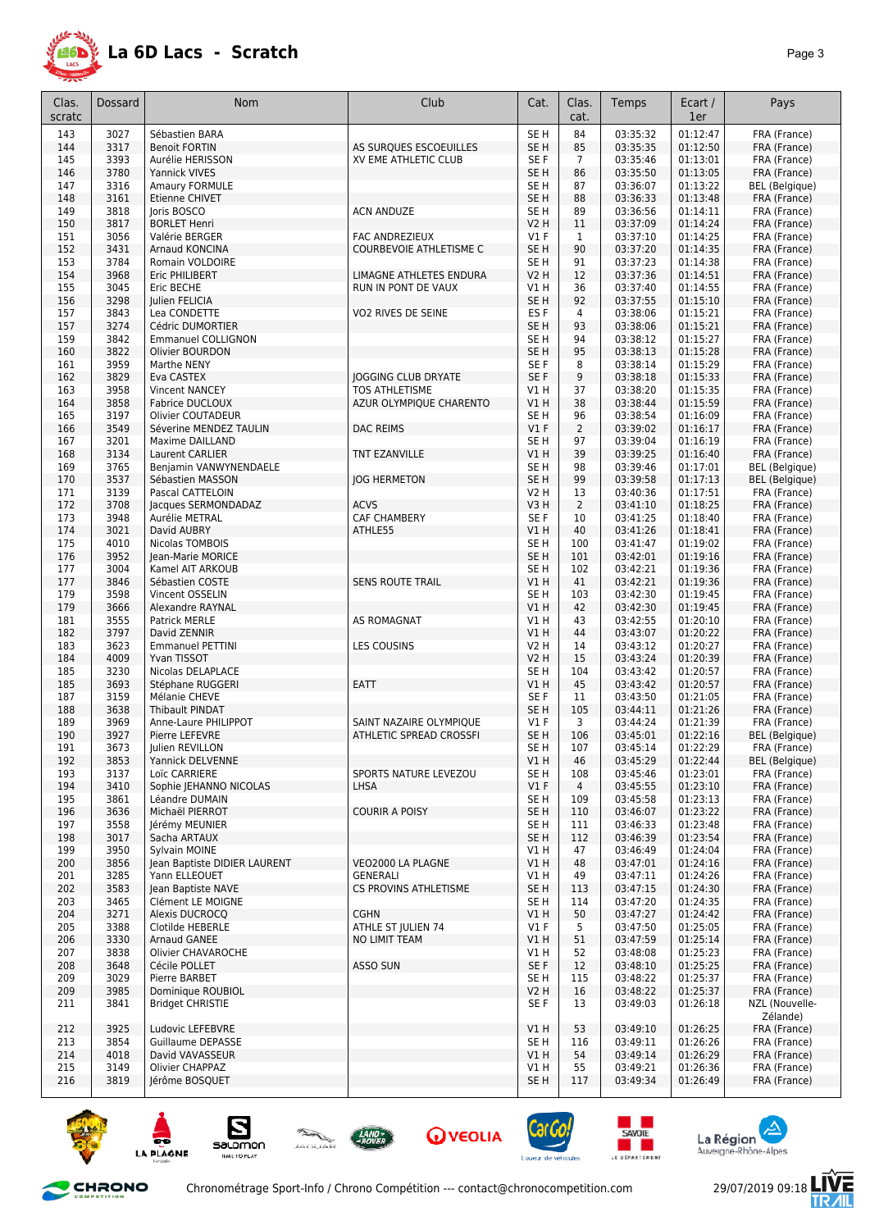

| Clas.<br>scratc | Dossard      | <b>Nom</b>                                         | Club                           | Cat.                               | Clas.<br>cat.        | Temps                | Ecart /<br>1er       | Pays                         |
|-----------------|--------------|----------------------------------------------------|--------------------------------|------------------------------------|----------------------|----------------------|----------------------|------------------------------|
|                 |              |                                                    |                                |                                    |                      |                      |                      |                              |
| 143             | 3027         | Sébastien BARA                                     |                                | SE <sub>H</sub>                    | 84                   | 03:35:32             | 01:12:47             | FRA (France)                 |
| 144             | 3317         | <b>Benoit FORTIN</b>                               | AS SURQUES ESCOEUILLES         | SE H                               | 85                   | 03:35:35             | 01:12:50             | FRA (France)                 |
| 145<br>146      | 3393<br>3780 | Aurélie HERISSON<br>Yannick VIVES                  | XV EME ATHLETIC CLUB           | SE F<br>SE H                       | 7<br>86              | 03:35:46<br>03:35:50 | 01:13:01<br>01:13:05 | FRA (France)<br>FRA (France) |
| 147             | 3316         | Amaury FORMULE                                     |                                | SE <sub>H</sub>                    | 87                   | 03:36:07             | 01:13:22             | BEL (Belgique)               |
| 148             | 3161         | Etienne CHIVET                                     |                                | SE <sub>H</sub>                    | 88                   | 03:36:33             | 01:13:48             | FRA (France)                 |
| 149             | 3818         | loris BOSCO                                        | <b>ACN ANDUZE</b>              | SE H                               | 89                   | 03:36:56             | 01:14:11             | FRA (France)                 |
| 150             | 3817         | <b>BORLET Henri</b>                                |                                | V2 H                               | 11                   | 03:37:09             | 01:14:24             | FRA (France)                 |
| 151             | 3056         | Valérie BERGER                                     | FAC ANDREZIEUX                 | $VI$ F                             | 1                    | 03:37:10             | 01:14:25             | FRA (France)                 |
| 152             | 3431         | Arnaud KONCINA                                     | COURBEVOIE ATHLETISME C        | SE <sub>H</sub>                    | 90                   | 03:37:20             | 01:14:35             | FRA (France)                 |
| 153             | 3784         | Romain VOLDOIRE                                    |                                | SE H                               | 91                   | 03:37:23             | 01:14:38             | FRA (France)                 |
| 154             | 3968         | Eric PHILIBERT                                     | LIMAGNE ATHLETES ENDURA        | V2 H                               | 12                   | 03:37:36             | 01:14:51             | FRA (France)                 |
| 155<br>156      | 3045<br>3298 | Eric BECHE<br>Julien FELICIA                       | RUN IN PONT DE VAUX            | V1 H<br>SE <sub>H</sub>            | 36<br>92             | 03:37:40<br>03:37:55 | 01:14:55<br>01:15:10 | FRA (France)<br>FRA (France) |
| 157             | 3843         | Lea CONDETTE                                       | VO2 RIVES DE SEINE             | ES <sub>F</sub>                    | 4                    | 03:38:06             | 01:15:21             | FRA (France)                 |
| 157             | 3274         | Cédric DUMORTIER                                   |                                | SE <sub>H</sub>                    | 93                   | 03:38:06             | 01:15:21             | FRA (France)                 |
| 159             | 3842         | <b>Emmanuel COLLIGNON</b>                          |                                | SE H                               | 94                   | 03:38:12             | 01:15:27             | FRA (France)                 |
| 160             | 3822         | Olivier BOURDON                                    |                                | SE H                               | 95                   | 03:38:13             | 01:15:28             | FRA (France)                 |
| 161             | 3959         | Marthe NENY                                        |                                | SE F                               | 8                    | 03:38:14             | 01:15:29             | FRA (France)                 |
| 162             | 3829         | Eva CASTEX                                         | <b>JOGGING CLUB DRYATE</b>     | SE F                               | 9                    | 03:38:18             | 01:15:33             | FRA (France)                 |
| 163             | 3958         | <b>Vincent NANCEY</b>                              | <b>TOS ATHLETISME</b>          | V1 H                               | 37                   | 03:38:20             | 01:15:35             | FRA (France)                 |
| 164             | 3858         | <b>Fabrice DUCLOUX</b>                             | AZUR OLYMPIQUE CHARENTO        | V1 H                               | 38                   | 03:38:44             | 01:15:59             | FRA (France)                 |
| 165<br>166      | 3197<br>3549 | <b>Olivier COUTADEUR</b><br>Séverine MENDEZ TAULIN | <b>DAC REIMS</b>               | SE H<br>$VI$ F                     | 96<br>$\overline{2}$ | 03:38:54<br>03:39:02 | 01:16:09<br>01:16:17 | FRA (France)<br>FRA (France) |
| 167             | 3201         | Maxime DAILLAND                                    |                                | SE <sub>H</sub>                    | 97                   | 03:39:04             | 01:16:19             | FRA (France)                 |
| 168             | 3134         | Laurent CARLIER                                    | <b>TNT EZANVILLE</b>           | V1 H                               | 39                   | 03:39:25             | 01:16:40             | FRA (France)                 |
| 169             | 3765         | Benjamin VANWYNENDAELE                             |                                | SE H                               | 98                   | 03:39:46             | 01:17:01             | <b>BEL</b> (Belgique)        |
| 170             | 3537         | Sébastien MASSON                                   | <b>JOG HERMETON</b>            | SE H                               | 99                   | 03:39:58             | 01:17:13             | <b>BEL</b> (Belgique)        |
| 171             | 3139         | Pascal CATTELOIN                                   |                                | V2 H                               | 13                   | 03:40:36             | 01:17:51             | FRA (France)                 |
| 172             | 3708         | Jacques SERMONDADAZ                                | <b>ACVS</b>                    | V3 H                               | $\overline{2}$       | 03:41:10             | 01:18:25             | FRA (France)                 |
| 173             | 3948         | Aurélie METRAL                                     | CAF CHAMBERY                   | SE F                               | 10                   | 03:41:25             | 01:18:40             | FRA (France)                 |
| 174             | 3021         | David AUBRY                                        | ATHLE55                        | V1 H                               | 40                   | 03:41:26             | 01:18:41             | FRA (France)                 |
| 175<br>176      | 4010<br>3952 | Nicolas TOMBOIS<br>Jean-Marie MORICE               |                                | SE <sub>H</sub><br>SE <sub>H</sub> | 100<br>101           | 03:41:47<br>03:42:01 | 01:19:02<br>01:19:16 | FRA (France)<br>FRA (France) |
| 177             | 3004         | Kamel AIT ARKOUB                                   |                                | SE <sub>H</sub>                    | 102                  | 03:42:21             | 01:19:36             | FRA (France)                 |
| 177             | 3846         | Sébastien COSTE                                    | <b>SENS ROUTE TRAIL</b>        | V1H                                | 41                   | 03:42:21             | 01:19:36             | FRA (France)                 |
| 179             | 3598         | Vincent OSSELIN                                    |                                | SE <sub>H</sub>                    | 103                  | 03:42:30             | 01:19:45             | FRA (France)                 |
| 179             | 3666         | Alexandre RAYNAL                                   |                                | V1 H                               | 42                   | 03:42:30             | 01:19:45             | FRA (France)                 |
| 181             | 3555         | <b>Patrick MERLE</b>                               | AS ROMAGNAT                    | VIH                                | 43                   | 03:42:55             | 01:20:10             | FRA (France)                 |
| 182             | 3797         | David ZENNIR                                       |                                | V1 H                               | 44                   | 03:43:07             | 01:20:22             | FRA (France)                 |
| 183             | 3623         | <b>Emmanuel PETTINI</b>                            | LES COUSINS                    | V2 H                               | 14                   | 03:43:12             | 01:20:27             | FRA (France)                 |
| 184             | 4009         | Yvan TISSOT                                        |                                | V2 H                               | 15                   | 03:43:24             | 01:20:39             | FRA (France)                 |
| 185<br>185      | 3230<br>3693 | Nicolas DELAPLACE<br>Stéphane RUGGERI              | EATT                           | SE H<br>V1 H                       | 104<br>45            | 03:43:42<br>03:43:42 | 01:20:57<br>01:20:57 | FRA (France)<br>FRA (France) |
| 187             | 3159         | Mélanie CHEVE                                      |                                | SE F                               | 11                   | 03:43:50             | 01:21:05             | FRA (France)                 |
| 188             | 3638         | <b>Thibault PINDAT</b>                             |                                | SE <sub>H</sub>                    | 105                  | 03:44:11             | 01:21:26             | FRA (France)                 |
| 189             | 3969         | Anne-Laure PHILIPPOT                               | SAINT NAZAIRE OLYMPIQUE        | $VI$ F                             | 3                    | 03:44:24             | 01:21:39             | FRA (France)                 |
| 190             | 3927         | Pierre LEFEVRE                                     | <b>ATHLETIC SPREAD CROSSFI</b> | SE <sub>H</sub>                    | 106                  | 03:45:01             | 01:22:16             | BEL (Belgique)               |
| 191             | 3673         | Julien REVILLON                                    |                                | SE <sub>H</sub>                    | 107                  | 03:45:14             | 01:22:29             | FRA (France)                 |
| 192             | 3853         | Yannick DELVENNE                                   |                                | V1 H                               | 46                   | 03:45:29             | 01:22:44             | <b>BEL</b> (Belgique)        |
| 193<br>194      | 3137<br>3410 | Loïc CARRIERE<br>Sophie JEHANNO NICOLAS            | SPORTS NATURE LEVEZOU<br>LHSA  | SE H<br>$VI$ F                     | 108<br>4             | 03:45:46<br>03:45:55 | 01:23:01<br>01:23:10 | FRA (France)<br>FRA (France) |
| 195             | 3861         | Léandre DUMAIN                                     |                                | SE H                               | 109                  | 03:45:58             | 01:23:13             | FRA (France)                 |
| 196             | 3636         | Michaël PIERROT                                    | <b>COURIR A POISY</b>          | SE H                               | 110                  | 03:46:07             | 01:23:22             | FRA (France)                 |
| 197             | 3558         | Jérémy MEUNIER                                     |                                | SE H                               | 111                  | 03:46:33             | 01:23:48             | FRA (France)                 |
| 198             | 3017         | Sacha ARTAUX                                       |                                | SE <sub>H</sub>                    | 112                  | 03:46:39             | 01:23:54             | FRA (France)                 |
| 199             | 3950         | Sylvain MOINE                                      |                                | V1 H                               | 47                   | 03:46:49             | 01:24:04             | FRA (France)                 |
| 200             | 3856         | Jean Baptiste DIDIER LAURENT                       | VEO2000 LA PLAGNE              | V1 H                               | 48                   | 03:47:01             | 01:24:16             | FRA (France)                 |
| 201             | 3285         | Yann ELLEOUET                                      | GENERALI                       | V1 H                               | 49                   | 03:47:11             | 01:24:26             | FRA (France)                 |
| 202             | 3583         | Jean Baptiste NAVE                                 | <b>CS PROVINS ATHLETISME</b>   | SE H                               | 113                  | 03:47:15             | 01:24:30             | FRA (France)                 |
| 203<br>204      | 3465<br>3271 | Clément LE MOIGNE<br>Alexis DUCROCQ                | <b>CGHN</b>                    | SE H<br>V1 H                       | 114<br>50            | 03:47:20<br>03:47:27 | 01:24:35<br>01:24:42 | FRA (France)<br>FRA (France) |
| 205             | 3388         | Clotilde HEBERLE                                   | ATHLE ST JULIEN 74             | $VI$ F                             | 5                    | 03:47:50             | 01:25:05             | FRA (France)                 |
| 206             | 3330         | Arnaud GANEE                                       | NO LIMIT TEAM                  | V1 H                               | 51                   | 03:47:59             | 01:25:14             | FRA (France)                 |
| 207             | 3838         | Olivier CHAVAROCHE                                 |                                | V1 H                               | 52                   | 03:48:08             | 01:25:23             | FRA (France)                 |
| 208             | 3648         | Cécile POLLET                                      | ASSO SUN                       | SE F                               | 12                   | 03:48:10             | 01:25:25             | FRA (France)                 |
| 209             | 3029         | Pierre BARBET                                      |                                | SE H                               | 115                  | 03:48:22             | 01:25:37             | FRA (France)                 |
| 209             | 3985         | Dominique ROUBIOL                                  |                                | V2 H                               | 16                   | 03:48:22             | 01:25:37             | FRA (France)                 |
| 211             | 3841         | <b>Bridget CHRISTIE</b>                            |                                | SE F                               | 13                   | 03:49:03             | 01:26:18             | NZL (Nouvelle-               |
|                 | 3925         | Ludovic LEFEBVRE                                   |                                |                                    | 53                   | 03:49:10             | 01:26:25             | Zélande)                     |
| 212<br>213      | 3854         | Guillaume DEPASSE                                  |                                | V1 H<br>SE H                       | 116                  | 03:49:11             | 01:26:26             | FRA (France)<br>FRA (France) |
| 214             | 4018         | David VAVASSEUR                                    |                                | V1 H                               | 54                   | 03:49:14             | 01:26:29             | FRA (France)                 |
| 215             | 3149         | Olivier CHAPPAZ                                    |                                | V1 H                               | 55                   | 03:49:21             | 01:26:36             | FRA (France)                 |
| 216             | 3819         | Jérôme BOSQUET                                     |                                | SE H                               | 117                  | 03:49:34             | 01:26:49             | FRA (France)                 |
|                 |              |                                                    |                                |                                    |                      |                      |                      |                              |











and the second







F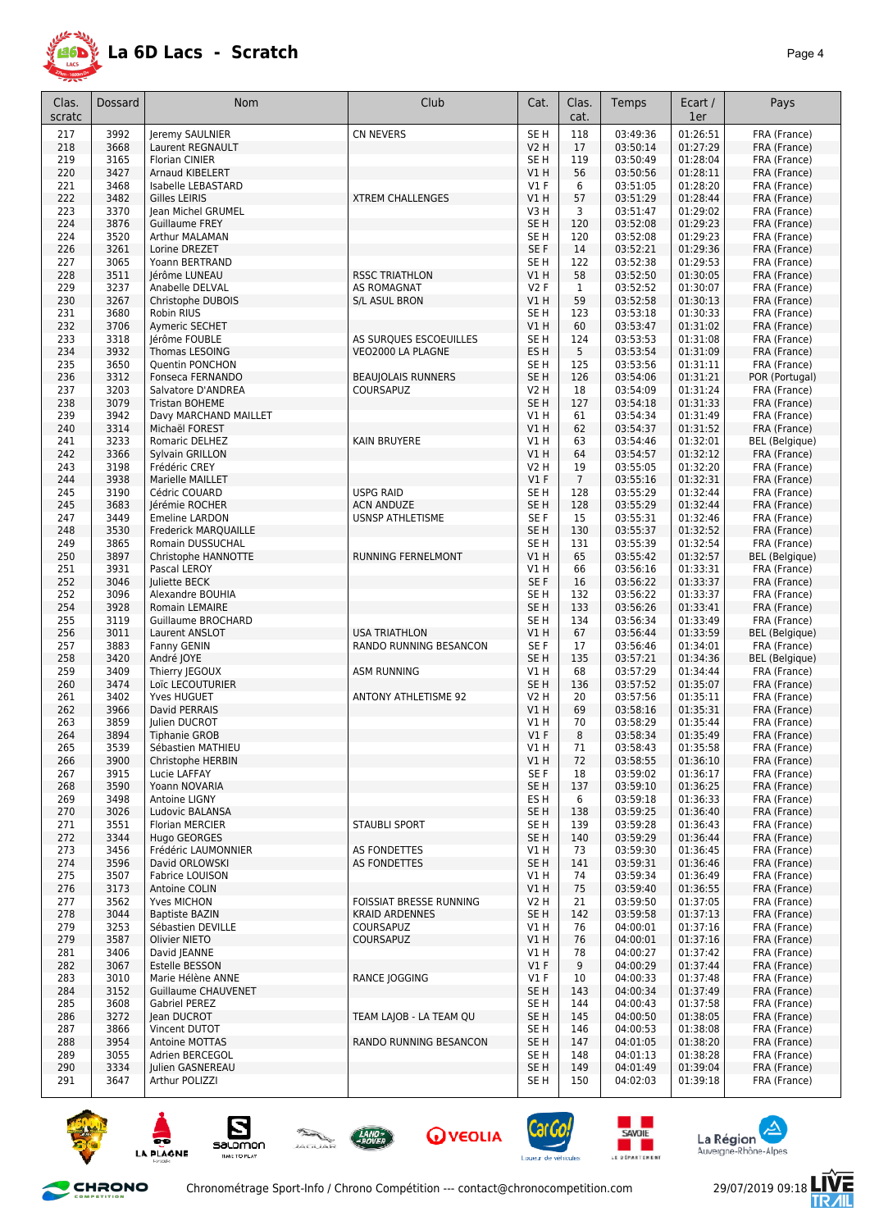

| Clas.<br>scratc | <b>Dossard</b> | Nom                                             | Club                                        | Cat.                      | Clas.<br>cat.   | Temps                | Ecart /<br>1er       | Pays                                  |
|-----------------|----------------|-------------------------------------------------|---------------------------------------------|---------------------------|-----------------|----------------------|----------------------|---------------------------------------|
| 217             | 3992           | Jeremy SAULNIER                                 | <b>CN NEVERS</b>                            | SE <sub>H</sub>           | 118             | 03:49:36             | 01:26:51             | FRA (France)                          |
| 218             | 3668           | Laurent REGNAULT                                |                                             | V2 H                      | 17              | 03:50:14             | 01:27:29             | FRA (France)                          |
| 219             | 3165           | <b>Florian CINIER</b>                           |                                             | SE <sub>H</sub>           | 119             | 03:50:49             | 01:28:04             | FRA (France)                          |
| 220             | 3427           | Arnaud KIBELERT                                 |                                             | V1 H                      | 56              | 03:50:56             | 01:28:11             | FRA (France)                          |
| 221             | 3468           | Isabelle LEBASTARD                              |                                             | <b>V1 F</b>               | 6               | 03:51:05             | 01:28:20             | FRA (France)                          |
| 222             | 3482           | Gilles LEIRIS                                   | <b>XTREM CHALLENGES</b>                     | VIH                       | 57              | 03:51:29             | 01:28:44             | FRA (France)                          |
| 223             | 3370           | Jean Michel GRUMEL                              |                                             | V3 H                      | 3               | 03:51:47             | 01:29:02             | FRA (France)                          |
| 224             | 3876           | <b>Guillaume FREY</b>                           |                                             | SE <sub>H</sub>           | 120             | 03:52:08             | 01:29:23             | FRA (France)                          |
| 224<br>226      | 3520<br>3261   | Arthur MALAMAN<br>Lorine DREZET                 |                                             | SE <sub>H</sub><br>SE F   | 120<br>14       | 03:52:08<br>03:52:21 | 01:29:23<br>01:29:36 | FRA (France)<br>FRA (France)          |
| 227             | 3065           | Yoann BERTRAND                                  |                                             | SE H                      | 122             | 03:52:38             | 01:29:53             | FRA (France)                          |
| 228             | 3511           | lérôme LUNEAU                                   | <b>RSSC TRIATHLON</b>                       | V1 H                      | 58              | 03:52:50             | 01:30:05             | FRA (France)                          |
| 229             | 3237           | Anabelle DELVAL                                 | AS ROMAGNAT                                 | V2F                       | $\mathbf{1}$    | 03:52:52             | 01:30:07             | FRA (France)                          |
| 230             | 3267           | Christophe DUBOIS                               | S/L ASUL BRON                               | V1 H                      | 59              | 03:52:58             | 01:30:13             | FRA (France)                          |
| 231             | 3680           | <b>Robin RIUS</b>                               |                                             | SE <sub>H</sub>           | 123             | 03:53:18             | 01:30:33             | FRA (France)                          |
| 232             | 3706           | Aymeric SECHET                                  |                                             | V1 H                      | 60              | 03:53:47             | 01:31:02             | FRA (France)                          |
| 233<br>234      | 3318<br>3932   | Jérôme FOUBLE<br>Thomas LESOING                 | AS SURQUES ESCOEUILLES<br>VEO2000 LA PLAGNE | SE H<br>ES <sub>H</sub>   | 124<br>5        | 03:53:53<br>03:53:54 | 01:31:08<br>01:31:09 | FRA (France)<br>FRA (France)          |
| 235             | 3650           | Quentin PONCHON                                 |                                             | SE <sub>H</sub>           | 125             | 03:53:56             | 01:31:11             | FRA (France)                          |
| 236             | 3312           | Fonseca FERNANDO                                | <b>BEAUJOLAIS RUNNERS</b>                   | SE <sub>H</sub>           | 126             | 03:54:06             | 01:31:21             | POR (Portugal)                        |
| 237             | 3203           | Salvatore D'ANDREA                              | <b>COURSAPUZ</b>                            | V2 H                      | 18              | 03:54:09             | 01:31:24             | FRA (France)                          |
| 238             | 3079           | <b>Tristan BOHEME</b>                           |                                             | SE <sub>H</sub>           | 127             | 03:54:18             | 01:31:33             | FRA (France)                          |
| 239             | 3942           | Davy MARCHAND MAILLET                           |                                             | V1 H                      | 61              | 03:54:34             | 01:31:49             | FRA (France)                          |
| 240             | 3314           | Michaël FOREST                                  |                                             | VIH                       | 62              | 03:54:37             | 01:31:52             | FRA (France)                          |
| 241             | 3233           | Romaric DELHEZ                                  | KAIN BRUYERE                                | V1 H                      | 63              | 03:54:46             | 01:32:01             | <b>BEL</b> (Belgique)<br>FRA (France) |
| 242<br>243      | 3366<br>3198   | Sylvain GRILLON<br>Frédéric CREY                |                                             | VIH<br>V2 H               | 64<br>19        | 03:54:57<br>03:55:05 | 01:32:12<br>01:32:20 | FRA (France)                          |
| 244             | 3938           | Marielle MAILLET                                |                                             | $VI$ F                    | $7\overline{ }$ | 03:55:16             | 01:32:31             | FRA (France)                          |
| 245             | 3190           | Cédric COUARD                                   | <b>USPG RAID</b>                            | SE H                      | 128             | 03:55:29             | 01:32:44             | FRA (France)                          |
| 245             | 3683           | Jérémie ROCHER                                  | <b>ACN ANDUZE</b>                           | SE <sub>H</sub>           | 128             | 03:55:29             | 01:32:44             | FRA (France)                          |
| 247             | 3449           | <b>Emeline LARDON</b>                           | <b>USNSP ATHLETISME</b>                     | SE F                      | 15              | 03:55:31             | 01:32:46             | FRA (France)                          |
| 248             | 3530           | <b>Frederick MARQUAILLE</b>                     |                                             | SE <sub>H</sub>           | 130             | 03:55:37             | 01:32:52             | FRA (France)                          |
| 249             | 3865           | Romain DUSSUCHAL                                |                                             | SE <sub>H</sub>           | 131             | 03:55:39             | 01:32:54             | FRA (France)                          |
| 250<br>251      | 3897<br>3931   | Christophe HANNOTTE<br>Pascal LEROY             | RUNNING FERNELMONT                          | V1 H<br>V1 H              | 65<br>66        | 03:55:42<br>03:56:16 | 01:32:57<br>01:33:31 | <b>BEL</b> (Belgique)<br>FRA (France) |
| 252             | 3046           | Juliette BECK                                   |                                             | SE F                      | 16              | 03:56:22             | 01:33:37             | FRA (France)                          |
| 252             | 3096           | Alexandre BOUHIA                                |                                             | SE <sub>H</sub>           | 132             | 03:56:22             | 01:33:37             | FRA (France)                          |
| 254             | 3928           | Romain LEMAIRE                                  |                                             | SE H                      | 133             | 03:56:26             | 01:33:41             | FRA (France)                          |
| 255             | 3119           | Guillaume BROCHARD                              |                                             | SE <sub>H</sub>           | 134             | 03:56:34             | 01:33:49             | FRA (France)                          |
| 256             | 3011           | Laurent ANSLOT                                  | <b>USA TRIATHLON</b>                        | V1 H                      | 67              | 03:56:44             | 01:33:59             | <b>BEL</b> (Belgique)                 |
| 257             | 3883           | Fanny GENIN                                     | RANDO RUNNING BESANCON                      | SE F                      | 17              | 03:56:46             | 01:34:01             | FRA (France)                          |
| 258<br>259      | 3420<br>3409   | André JOYE                                      | <b>ASM RUNNING</b>                          | SE <sub>H</sub><br>V1 H   | 135<br>68       | 03:57:21<br>03:57:29 | 01:34:36             | <b>BEL</b> (Belgique)<br>FRA (France) |
| 260             | 3474           | Thierry JEGOUX<br>Loïc LECOUTURIER              |                                             | SE <sub>H</sub>           | 136             | 03:57:52             | 01:34:44<br>01:35:07 | FRA (France)                          |
| 261             | 3402           | Yves HUGUET                                     | <b>ANTONY ATHLETISME 92</b>                 | V2 H                      | 20              | 03:57:56             | 01:35:11             | FRA (France)                          |
| 262             | 3966           | David PERRAIS                                   |                                             | <b>V1 H</b>               | 69              | 03:58:16             | 01:35:31             | FRA (France)                          |
| 263             | 3859           | Julien DUCROT                                   |                                             | V1 H                      | 70              | 03:58:29             | 01:35:44             | FRA (France)                          |
| 264             | 3894           | <b>Tiphanie GROB</b>                            |                                             | $VI$ F                    | 8               | 03:58:34             | 01:35:49             | FRA (France)                          |
| 265             | 3539           | Sébastien MATHIEU                               |                                             | VIH                       | 71              | 03:58:43             | 01:35:58             | FRA (France)                          |
| 266             | 3900           | Christophe HERBIN                               |                                             | V1 H                      | 72              | 03:58:55             | 01:36:10             | FRA (France)                          |
| 267<br>268      | 3915<br>3590   | Lucie LAFFAY<br>Yoann NOVARIA                   |                                             | SE F<br>SE H              | 18<br>137       | 03:59:02<br>03:59:10 | 01:36:17<br>01:36:25 | FRA (France)<br>FRA (France)          |
| 269             | 3498           | Antoine LIGNY                                   |                                             | ES H                      | 6               | 03:59:18             | 01:36:33             | FRA (France)                          |
| 270             | 3026           | Ludovic BALANSA                                 |                                             | SE <sub>H</sub>           | 138             | 03:59:25             | 01:36:40             | FRA (France)                          |
| 271             | 3551           | <b>Florian MERCIER</b>                          | <b>STAUBLI SPORT</b>                        | SE <sub>H</sub>           | 139             | 03:59:28             | 01:36:43             | FRA (France)                          |
| 272             | 3344           | Hugo GEORGES                                    |                                             | SE H                      | 140             | 03:59:29             | 01:36:44             | FRA (France)                          |
| 273             | 3456           | Frédéric LAUMONNIER                             | AS FONDETTES                                | V1 H                      | 73              | 03:59:30             | 01:36:45             | FRA (France)                          |
| 274             | 3596           | David ORLOWSKI                                  | AS FONDETTES                                | SE <sub>H</sub>           | 141             | 03:59:31             | 01:36:46             | FRA (France)                          |
| 275<br>276      | 3507<br>3173   | Fabrice LOUISON<br>Antoine COLIN                |                                             | V1 H<br>V1 H              | 74<br>75        | 03:59:34<br>03:59:40 | 01:36:49<br>01:36:55 | FRA (France)<br>FRA (France)          |
| 277             | 3562           | Yves MICHON                                     | FOISSIAT BRESSE RUNNING                     | V2 H                      | 21              | 03:59:50             | 01:37:05             | FRA (France)                          |
| 278             | 3044           | <b>Baptiste BAZIN</b>                           | <b>KRAID ARDENNES</b>                       | SE H                      | 142             | 03:59:58             | 01:37:13             | FRA (France)                          |
| 279             | 3253           | Sébastien DEVILLE                               | COURSAPUZ                                   | V1 H                      | 76              | 04:00:01             | 01:37:16             | FRA (France)                          |
| 279             | 3587           | Olivier NIETO                                   | COURSAPUZ                                   | V1 H                      | 76              | 04:00:01             | 01:37:16             | FRA (France)                          |
| 281             | 3406           | David JEANNE                                    |                                             | V1 H                      | 78              | 04:00:27             | 01:37:42             | FRA (France)                          |
| 282             | 3067           | Estelle BESSON                                  |                                             | $VI$ F                    | 9               | 04:00:29             | 01:37:44             | FRA (France)                          |
| 283<br>284      | 3010<br>3152   | Marie Hélène ANNE<br><b>Guillaume CHAUVENET</b> | RANCE JOGGING                               | $VI$ F<br>SE <sub>H</sub> | 10<br>143       | 04:00:33<br>04:00:34 | 01:37:48<br>01:37:49 | FRA (France)<br>FRA (France)          |
| 285             | 3608           | Gabriel PEREZ                                   |                                             | SE <sub>H</sub>           | 144             | 04:00:43             | 01:37:58             | FRA (France)                          |
| 286             | 3272           | Jean DUCROT                                     | TEAM LAJOB - LA TEAM QU                     | SE <sub>H</sub>           | 145             | 04:00:50             | 01:38:05             | FRA (France)                          |
| 287             | 3866           | Vincent DUTOT                                   |                                             | SE <sub>H</sub>           | 146             | 04:00:53             | 01:38:08             | FRA (France)                          |
| 288             | 3954           | Antoine MOTTAS                                  | RANDO RUNNING BESANCON                      | SE <sub>H</sub>           | 147             | 04:01:05             | 01:38:20             | FRA (France)                          |
| 289             | 3055           | Adrien BERCEGOL                                 |                                             | SE H                      | 148             | 04:01:13             | 01:38:28             | FRA (France)                          |
| 290             | 3334           | Julien GASNEREAU                                |                                             | SE H                      | 149             | 04:01:49             | 01:39:04             | FRA (France)                          |
| 291             | 3647           | Arthur POLIZZI                                  |                                             | SE H                      | 150             | 04:02:03             | 01:39:18             | FRA (France)                          |















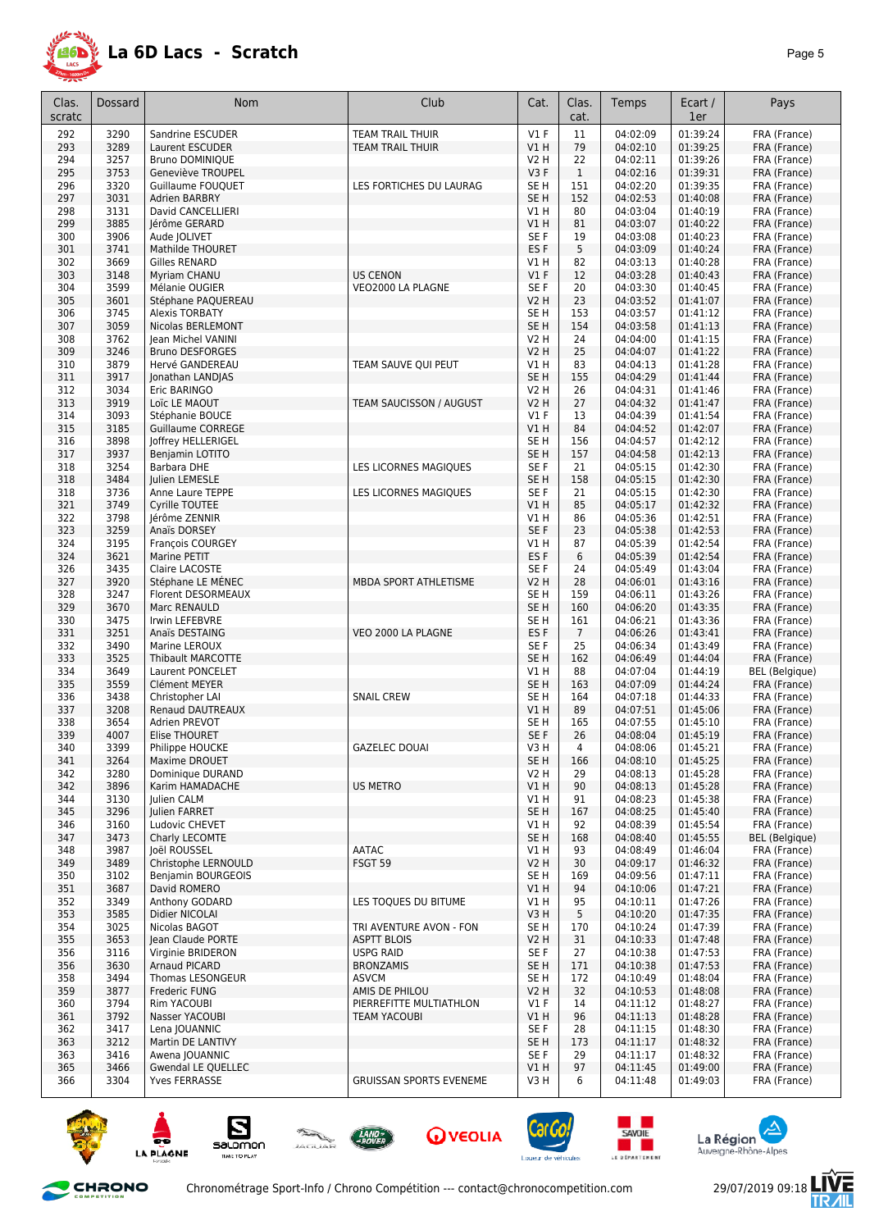

| Clas.<br>scratc | Dossard      | <b>Nom</b>                          | Club                                      | Cat.                     | Clas.<br>cat.  | Temps                | Ecart /<br>1er       | Pays                         |
|-----------------|--------------|-------------------------------------|-------------------------------------------|--------------------------|----------------|----------------------|----------------------|------------------------------|
| 292             | 3290         | Sandrine ESCUDER                    | <b>TEAM TRAIL THUIR</b>                   | $VI$ F                   | 11             | 04:02:09             | 01:39:24             | FRA (France)                 |
| 293             | 3289         | Laurent ESCUDER                     | <b>TEAM TRAIL THUIR</b>                   | V1H                      | 79             | 04:02:10             | 01:39:25             | FRA (France)                 |
| 294             | 3257         | <b>Bruno DOMINIQUE</b>              |                                           | V2 H                     | 22             | 04:02:11             | 01:39:26             | FRA (France)                 |
| 295             | 3753         | Geneviève TROUPEL                   |                                           | V3F                      | $\mathbf{1}$   | 04:02:16             | 01:39:31             | FRA (France)                 |
| 296             | 3320         | Guillaume FOUOUET                   | LES FORTICHES DU LAURAG                   | SE <sub>H</sub>          | 151            | 04:02:20             | 01:39:35             | FRA (France)                 |
| 297             | 3031         | Adrien BARBRY                       |                                           | SE <sub>H</sub>          | 152            | 04:02:53             | 01:40:08             | FRA (France)                 |
| 298             | 3131         | David CANCELLIERI                   |                                           | V1H                      | 80             | 04:03:04             | 01:40:19             | FRA (France)                 |
| 299             | 3885         | Jérôme GERARD                       |                                           | V1H                      | 81             | 04:03:07             | 01:40:22             | FRA (France)                 |
| 300             | 3906         | Aude JOLIVET                        |                                           | SE F                     | 19             | 04:03:08             | 01:40:23             | FRA (France)                 |
| 301             | 3741         | Mathilde THOURET                    |                                           | ES <sub>F</sub>          | 5              | 04:03:09             | 01:40:24             | FRA (France)                 |
| 302             | 3669         | Gilles RENARD                       |                                           | V1 H                     | 82             | 04:03:13             | 01:40:28             | FRA (France)                 |
| 303             | 3148         | Myriam CHANU<br>Mélanie OUGIER      | <b>US CENON</b><br>VEO2000 LA PLAGNE      | $VI$ F                   | 12             | 04:03:28             | 01:40:43             | FRA (France)                 |
| 304<br>305      | 3599<br>3601 | Stéphane PAQUEREAU                  |                                           | SE F<br><b>V2 H</b>      | 20<br>23       | 04:03:30<br>04:03:52 | 01:40:45<br>01:41:07 | FRA (France)<br>FRA (France) |
| 306             | 3745         | <b>Alexis TORBATY</b>               |                                           | SE <sub>H</sub>          | 153            | 04:03:57             | 01:41:12             | FRA (France)                 |
| 307             | 3059         | Nicolas BERLEMONT                   |                                           | SE <sub>H</sub>          | 154            | 04:03:58             | 01:41:13             | FRA (France)                 |
| 308             | 3762         | Jean Michel VANINI                  |                                           | <b>V2 H</b>              | 24             | 04:04:00             | 01:41:15             | FRA (France)                 |
| 309             | 3246         | <b>Bruno DESFORGES</b>              |                                           | V2 H                     | 25             | 04:04:07             | 01:41:22             | FRA (France)                 |
| 310             | 3879         | Hervé GANDEREAU                     | TEAM SAUVE QUI PEUT                       | V1 H                     | 83             | 04:04:13             | 01:41:28             | FRA (France)                 |
| 311             | 3917         | Jonathan LANDJAS                    |                                           | SE <sub>H</sub>          | 155            | 04:04:29             | 01:41:44             | FRA (France)                 |
| 312             | 3034         | Eric BARINGO                        |                                           | <b>V2 H</b>              | 26             | 04:04:31             | 01:41:46             | FRA (France)                 |
| 313             | 3919         | Loïc LE MAOUT                       | TEAM SAUCISSON / AUGUST                   | <b>V2 H</b>              | 27             | 04:04:32             | 01:41:47             | FRA (France)                 |
| 314             | 3093         | Stéphanie BOUCE                     |                                           | $VI$ F                   | 13             | 04:04:39             | 01:41:54             | FRA (France)                 |
| 315             | 3185         | <b>Guillaume CORREGE</b>            |                                           | V1 H                     | 84             | 04:04:52             | 01:42:07             | FRA (France)                 |
| 316             | 3898         | Joffrey HELLERIGEL                  |                                           | SE <sub>H</sub>          | 156            | 04:04:57             | 01:42:12             | FRA (France)                 |
| 317             | 3937         | Benjamin LOTITO                     |                                           | SE <sub>H</sub>          | 157            | 04:04:58             | 01:42:13             | FRA (France)                 |
| 318             | 3254         | Barbara DHE                         | LES LICORNES MAGIQUES                     | SE <sub>F</sub>          | 21             | 04:05:15             | 01:42:30             | FRA (France)                 |
| 318             | 3484         | Julien LEMESLE                      |                                           | SE <sub>H</sub>          | 158            | 04:05:15             | 01:42:30             | FRA (France)                 |
| 318             | 3736         | Anne Laure TEPPE                    | <b>LES LICORNES MAGIOUES</b>              | SE <sub>F</sub>          | 21             | 04:05:15             | 01:42:30             | FRA (France)                 |
| 321             | 3749         | Cvrille TOUTEE                      |                                           | VIH                      | 85             | 04:05:17             | 01:42:32             | FRA (France)                 |
| 322             | 3798         | Jérôme ZENNIR                       |                                           | V1 H                     | 86             | 04:05:36             | 01:42:51             | FRA (France)                 |
| 323             | 3259         | Anaïs DORSEY                        |                                           | SE F                     | 23             | 04:05:38             | 01:42:53             | FRA (France)                 |
| 324<br>324      | 3195<br>3621 | François COURGEY<br>Marine PETIT    |                                           | V1 H<br>ES <sub>F</sub>  | 87<br>6        | 04:05:39<br>04:05:39 | 01:42:54<br>01:42:54 | FRA (France)<br>FRA (France) |
| 326             | 3435         | Claire LACOSTE                      |                                           | SE <sub>F</sub>          | 24             | 04:05:49             | 01:43:04             | FRA (France)                 |
| 327             | 3920         | Stéphane LE MÊNEC                   | MBDA SPORT ATHLETISME                     | <b>V2 H</b>              | 28             | 04:06:01             | 01:43:16             | FRA (France)                 |
| 328             | 3247         | Florent DESORMEAUX                  |                                           | SE <sub>H</sub>          | 159            | 04:06:11             | 01:43:26             | FRA (France)                 |
| 329             | 3670         | Marc RENAULD                        |                                           | SE <sub>H</sub>          | 160            | 04:06:20             | 01:43:35             | FRA (France)                 |
| 330             | 3475         | Irwin LEFEBVRE                      |                                           | SE <sub>H</sub>          | 161            | 04:06:21             | 01:43:36             | FRA (France)                 |
| 331             | 3251         | Anaïs DESTAING                      | VEO 2000 LA PLAGNE                        | ES <sub>F</sub>          | $\overline{7}$ | 04:06:26             | 01:43:41             | FRA (France)                 |
| 332             | 3490         | Marine LEROUX                       |                                           | SE <sub>F</sub>          | 25             | 04:06:34             | 01:43:49             | FRA (France)                 |
| 333             | 3525         | <b>Thibault MARCOTTE</b>            |                                           | SE <sub>H</sub>          | 162            | 04:06:49             | 01:44:04             | FRA (France)                 |
| 334             | 3649         | Laurent PONCELET                    |                                           | VIH                      | 88             | 04:07:04             | 01:44:19             | <b>BEL</b> (Belgique)        |
| 335             | 3559         | Clément MEYER                       |                                           | SE H                     | 163            | 04:07:09             | 01:44:24             | FRA (France)                 |
| 336             | 3438         | Christopher LAI                     | <b>SNAIL CREW</b>                         | SE <sub>H</sub>          | 164            | 04:07:18             | 01:44:33             | FRA (France)                 |
| 337             | 3208         | Renaud DAUTREAUX                    |                                           | V1 H                     | 89             | 04:07:51             | 01:45:06             | FRA (France)                 |
| 338             | 3654         | Adrien PREVOT                       |                                           | SE <sub>H</sub>          | 165            | 04:07:55             | 01:45:10             | FRA (France)                 |
| 339             | 4007         | <b>Elise THOURET</b>                |                                           | SE F                     | 26             | 04:08:04             | 01:45:19             | FRA (France)                 |
| 340             | 3399         | Philippe HOUCKE                     | GAZELEC DOUAI                             | V3 H                     | 4              | 04:08:06             | 01:45:21             | FRA (France)                 |
| 341             | 3264         | Maxime DROUET                       |                                           | SE H<br>V <sub>2</sub> H | 166<br>29      | 04:08:10<br>04:08:13 | 01:45:25<br>01:45:28 | FRA (France)                 |
| 342<br>342      | 3280<br>3896 | Dominique DURAND<br>Karim HAMADACHE | <b>US METRO</b>                           | V1H                      | 90             | 04:08:13             | 01:45:28             | FRA (France)<br>FRA (France) |
| 344             | 3130         | Julien CALM                         |                                           | V1 H                     | 91             | 04:08:23             | 01:45:38             | FRA (France)                 |
| 345             | 3296         | Julien FARRET                       |                                           | SE <sub>H</sub>          | 167            | 04:08:25             | 01:45:40             | FRA (France)                 |
| 346             | 3160         | Ludovic CHEVET                      |                                           | VIH                      | 92             | 04:08:39             | 01:45:54             | FRA (France)                 |
| 347             | 3473         | Charly LECOMTE                      |                                           | SE <sub>H</sub>          | 168            | 04:08:40             | 01:45:55             | <b>BEL</b> (Belgique)        |
| 348             | 3987         | loël ROUSSEL                        | AATAC                                     | VIH                      | 93             | 04:08:49             | 01:46:04             | FRA (France)                 |
| 349             | 3489         | Christophe LERNOULD                 | FSGT 59                                   | <b>V2 H</b>              | 30             | 04:09:17             | 01:46:32             | FRA (France)                 |
| 350             | 3102         | Benjamin BOURGEOIS                  |                                           | SE <sub>H</sub>          | 169            | 04:09:56             | 01:47:11             | FRA (France)                 |
| 351             | 3687         | David ROMERO                        |                                           | V1H                      | 94             | 04:10:06             | 01:47:21             | FRA (France)                 |
| 352             | 3349         | Anthony GODARD                      | LES TOOUES DU BITUME                      | VIH                      | 95             | 04:10:11             | 01:47:26             | FRA (France)                 |
| 353             | 3585         | Didier NICOLAI                      |                                           | V3H                      | 5              | 04:10:20             | 01:47:35             | FRA (France)                 |
| 354             | 3025         | Nicolas BAGOT                       | TRI AVENTURE AVON - FON                   | SE <sub>H</sub>          | 170            | 04:10:24             | 01:47:39             | FRA (France)                 |
| 355             | 3653         | Jean Claude PORTE                   | <b>ASPTT BLOIS</b>                        | V2 H                     | 31             | 04:10:33             | 01:47:48             | FRA (France)                 |
| 356             | 3116         | Virginie BRIDERON                   | <b>USPG RAID</b>                          | SE F                     | 27             | 04:10:38             | 01:47:53             | FRA (France)                 |
| 356             | 3630         | Arnaud PICARD                       | <b>BRONZAMIS</b>                          | SE H                     | 171            | 04:10:38             | 01:47:53             | FRA (France)                 |
| 358             | 3494         | Thomas LESONGEUR                    | ASVCM                                     | SE <sub>H</sub>          | 172            | 04:10:49             | 01:48:04             | FRA (France)<br>FRA (France) |
| 359<br>360      | 3877<br>3794 | Frederic FUNG<br>Rim YACOUBI        | AMIS DE PHILOU<br>PIERREFITTE MULTIATHLON | V2 H<br>$VI$ F           | 32<br>14       | 04:10:53<br>04:11:12 | 01:48:08<br>01:48:27 | FRA (France)                 |
| 361             | 3792         | Nasser YACOUBI                      | TEAM YACOUBI                              | V1 H                     | 96             | 04:11:13             | 01:48:28             | FRA (France)                 |
| 362             | 3417         | Lena <i><b>JOUANNIC</b></i>         |                                           | SE F                     | 28             | 04:11:15             | 01:48:30             | FRA (France)                 |
| 363             | 3212         | Martin DE LANTIVY                   |                                           | SE <sub>H</sub>          | 173            | 04:11:17             | 01:48:32             | FRA (France)                 |
| 363             | 3416         | Awena JOUANNIC                      |                                           | SE F                     | 29             | 04:11:17             | 01:48:32             | FRA (France)                 |
| 365             | 3466         | <b>Gwendal LE QUELLEC</b>           |                                           | V1H                      | 97             | 04:11:45             | 01:49:00             | FRA (France)                 |
| 366             | 3304         | Yves FERRASSE                       | <b>GRUISSAN SPORTS EVENEME</b>            | V3 H                     | 6              | 04:11:48             | 01:49:03             | FRA (France)                 |
|                 |              |                                     |                                           |                          |                |                      |                      |                              |

















怎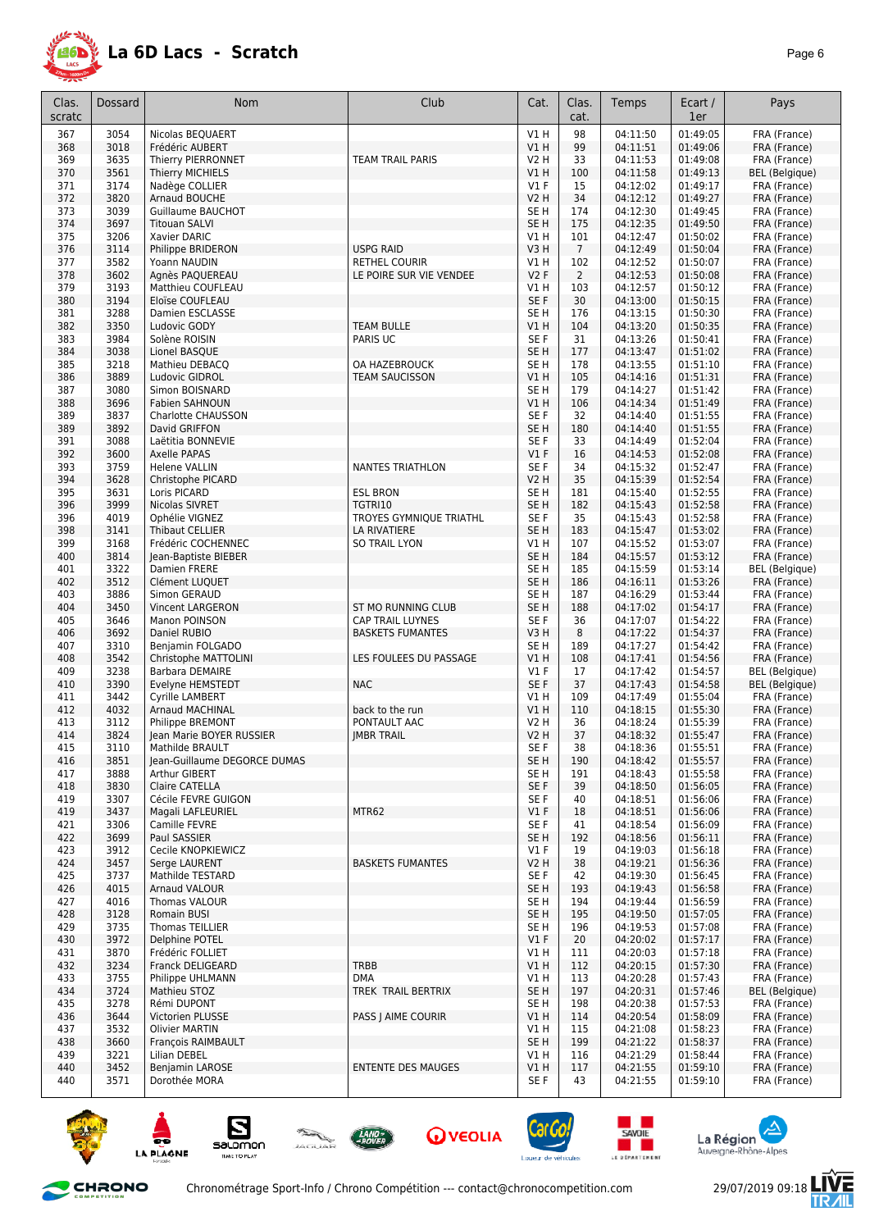

| Clas.      | Dossard      | <b>Nom</b>                                | Club                       | Cat.            | Clas.           | Temps                | Ecart /              | Pays                                  |
|------------|--------------|-------------------------------------------|----------------------------|-----------------|-----------------|----------------------|----------------------|---------------------------------------|
| scratc     |              |                                           |                            |                 | cat.            |                      | 1er                  |                                       |
| 367        | 3054         | Nicolas BEQUAERT                          |                            | V1H             | 98              | 04:11:50             | 01:49:05             | FRA (France)                          |
| 368        | 3018         | Frédéric AUBERT                           |                            | V1H             | 99              | 04:11:51             | 01:49:06             | FRA (France)                          |
| 369        | 3635         | Thierry PIERRONNET                        | TEAM TRAIL PARIS           | <b>V2 H</b>     | 33              | 04:11:53             | 01:49:08             | FRA (France)                          |
| 370<br>371 | 3561<br>3174 | Thierry MICHIELS<br>Nadège COLLIER        |                            | V1 H<br>$VI$ F  | 100<br>15       | 04:11:58<br>04:12:02 | 01:49:13<br>01:49:17 | <b>BEL</b> (Belgique)<br>FRA (France) |
| 372        | 3820         | Arnaud BOUCHE                             |                            | <b>V2 H</b>     | 34              | 04:12:12             | 01:49:27             | FRA (France)                          |
| 373        | 3039         | Guillaume BAUCHOT                         |                            | SE H            | 174             | 04:12:30             | 01:49:45             | FRA (France)                          |
| 374        | 3697         | <b>Titouan SALVI</b>                      |                            | SE H            | 175             | 04:12:35             | 01:49:50             | FRA (France)                          |
| 375        | 3206         | Xavier DARIC                              |                            | V1 H            | 101             | 04:12:47             | 01:50:02             | FRA (France)                          |
| 376        | 3114         | Philippe BRIDERON                         | <b>USPG RAID</b>           | V3H             | $7\overline{ }$ | 04:12:49             | 01:50:04             | FRA (France)                          |
| 377        | 3582         | Yoann NAUDIN                              | RETHEL COURIR              | V1 H            | 102             | 04:12:52             | 01:50:07             | FRA (France)                          |
| 378<br>379 | 3602         | Agnès PAQUEREAU<br>Matthieu COUFLEAU      | LE POIRE SUR VIE VENDEE    | V2F             | 2               | 04:12:53             | 01:50:08             | FRA (France)                          |
| 380        | 3193<br>3194 | Eloïse COUFLEAU                           |                            | V1 H<br>SE F    | 103<br>30       | 04:12:57<br>04:13:00 | 01:50:12<br>01:50:15 | FRA (France)<br>FRA (France)          |
| 381        | 3288         | Damien ESCLASSE                           |                            | SE H            | 176             | 04:13:15             | 01:50:30             | FRA (France)                          |
| 382        | 3350         | Ludovic GODY                              | <b>TEAM BULLE</b>          | VIH             | 104             | 04:13:20             | 01:50:35             | FRA (France)                          |
| 383        | 3984         | Solène ROISIN                             | PARIS UC                   | SE F            | 31              | 04:13:26             | 01:50:41             | FRA (France)                          |
| 384        | 3038         | Lionel BASQUE                             |                            | SE <sub>H</sub> | 177             | 04:13:47             | 01:51:02             | FRA (France)                          |
| 385        | 3218         | Mathieu DEBACQ                            | OA HAZEBROUCK              | SE <sub>H</sub> | 178             | 04:13:55             | 01:51:10             | FRA (France)                          |
| 386<br>387 | 3889<br>3080 | Ludovic GIDROL<br>Simon BOISNARD          | <b>TEAM SAUCISSON</b>      | V1 H<br>SE H    | 105<br>179      | 04:14:16<br>04:14:27 | 01:51:31<br>01:51:42 | FRA (France)                          |
| 388        | 3696         | <b>Fabien SAHNOUN</b>                     |                            | V1 H            | 106             | 04:14:34             | 01:51:49             | FRA (France)<br>FRA (France)          |
| 389        | 3837         | <b>Charlotte CHAUSSON</b>                 |                            | SE F            | 32              | 04:14:40             | 01:51:55             | FRA (France)                          |
| 389        | 3892         | David GRIFFON                             |                            | SE H            | 180             | 04:14:40             | 01:51:55             | FRA (France)                          |
| 391        | 3088         | Laëtitia BONNEVIE                         |                            | SE F            | 33              | 04:14:49             | 01:52:04             | FRA (France)                          |
| 392        | 3600         | Axelle PAPAS                              |                            | $VI$ F          | 16              | 04:14:53             | 01:52:08             | FRA (France)                          |
| 393        | 3759         | <b>Helene VALLIN</b>                      | <b>NANTES TRIATHLON</b>    | SE F            | 34              | 04:15:32             | 01:52:47             | FRA (France)                          |
| 394        | 3628         | Christophe PICARD                         |                            | <b>V2 H</b>     | 35              | 04:15:39             | 01:52:54             | FRA (France)                          |
| 395<br>396 | 3631<br>3999 | Loris PICARD<br>Nicolas SIVRET            | <b>ESL BRON</b><br>TGTRI10 | SE H<br>SE H    | 181<br>182      | 04:15:40<br>04:15:43 | 01:52:55<br>01:52:58 | FRA (France)<br>FRA (France)          |
| 396        | 4019         | Ophélie VIGNEZ                            | TROYES GYMNIQUE TRIATHL    | SE <sub>F</sub> | 35              | 04:15:43             | 01:52:58             | FRA (France)                          |
| 398        | 3141         | Thibaut CELLIER                           | LA RIVATIERE               | SE <sub>H</sub> | 183             | 04:15:47             | 01:53:02             | FRA (France)                          |
| 399        | 3168         | Frédéric COCHENNEC                        | <b>SO TRAIL LYON</b>       | V1 H            | 107             | 04:15:52             | 01:53:07             | FRA (France)                          |
| 400        | 3814         | Jean-Baptiste BIEBER                      |                            | SE H            | 184             | 04:15:57             | 01:53:12             | FRA (France)                          |
| 401        | 3322         | Damien FRERE                              |                            | SE H            | 185             | 04:15:59             | 01:53:14             | BEL (Belgique)                        |
| 402        | 3512         | Clément LUQUET                            |                            | SE H            | 186             | 04:16:11             | 01:53:26             | FRA (France)                          |
| 403<br>404 | 3886<br>3450 | Simon GERAUD<br>Vincent LARGERON          | ST MO RUNNING CLUB         | SE H<br>SE H    | 187<br>188      | 04:16:29<br>04:17:02 | 01:53:44<br>01:54:17 | FRA (France)<br>FRA (France)          |
| 405        | 3646         | Manon POINSON                             | CAP TRAIL LUYNES           | SE F            | 36              | 04:17:07             | 01:54:22             | FRA (France)                          |
| 406        | 3692         | Daniel RUBIO                              | <b>BASKETS FUMANTES</b>    | V3H             | 8               | 04:17:22             | 01:54:37             | FRA (France)                          |
| 407        | 3310         | Benjamin FOLGADO                          |                            | SE H            | 189             | 04:17:27             | 01:54:42             | FRA (France)                          |
| 408        | 3542         | Christophe MATTOLINI                      | LES FOULEES DU PASSAGE     | V1 H            | 108             | 04:17:41             | 01:54:56             | FRA (France)                          |
| 409        | 3238         | <b>Barbara DEMAIRE</b>                    |                            | $VI$ F          | 17              | 04:17:42             | 01:54:57             | <b>BEL</b> (Belgique)                 |
| 410        | 3390<br>3442 | Evelyne HEMSTEDT                          | <b>NAC</b>                 | SE F            | 37              | 04:17:43             | 01:54:58             | BEL (Belgique)                        |
| 411<br>412 | 4032         | Cyrille LAMBERT<br><b>Arnaud MACHINAL</b> | back to the run            | V1 H<br>V1 H    | 109<br>110      | 04:17:49<br>04:18:15 | 01:55:04<br>01:55:30 | FRA (France)<br>FRA (France)          |
| 413        | 3112         | Philippe BREMONT                          | PONTAULT AAC               | V2 H            | 36              | 04:18:24             | 01:55:39             | FRA (France)                          |
| 414        | 3824         | Jean Marie BOYER RUSSIER                  | <b>IMBR TRAIL</b>          | V2 H            | 37              | 04:18:32             | 01:55:47             | FRA (France)                          |
| 415        | 3110         | Mathilde BRAULT                           |                            | SE F            | 38              | 04:18:36             | 01:55:51             | FRA (France)                          |
| 416        | 3851         | Jean-Guillaume DEGORCE DUMAS              |                            | SE H            | 190             | 04:18:42             | 01:55:57             | FRA (France)                          |
| 417        | 3888         | Arthur GIBERT                             |                            | SE H            | 191             | 04:18:43             | 01:55:58             | FRA (France)                          |
| 418<br>419 | 3830<br>3307 | Claire CATELLA<br>Cécile FEVRE GUIGON     |                            | SE F<br>SE F    | 39<br>40        | 04:18:50<br>04:18:51 | 01:56:05<br>01:56:06 | FRA (France)<br>FRA (France)          |
| 419        | 3437         | Magali LAFLEURIEL                         | MTR62                      | V1F             | 18              | 04:18:51             | 01:56:06             | FRA (France)                          |
| 421        | 3306         | Camille FEVRE                             |                            | SE F            | 41              | 04:18:54             | 01:56:09             | FRA (France)                          |
| 422        | 3699         | Paul SASSIER                              |                            | SE H            | 192             | 04:18:56             | 01:56:11             | FRA (France)                          |
| 423        | 3912         | Cecile KNOPKIEWICZ                        |                            | $VI$ F          | 19              | 04:19:03             | 01:56:18             | FRA (France)                          |
| 424        | 3457         | Serge LAURENT                             | <b>BASKETS FUMANTES</b>    | V2 H            | 38              | 04:19:21             | 01:56:36             | FRA (France)                          |
| 425        | 3737         | Mathilde TESTARD                          |                            | SE F            | 42              | 04:19:30             | 01:56:45             | FRA (France)                          |
| 426<br>427 | 4015<br>4016 | Arnaud VALOUR<br>Thomas VALOUR            |                            | SE H<br>SE H    | 193<br>194      | 04:19:43<br>04:19:44 | 01:56:58<br>01:56:59 | FRA (France)<br>FRA (France)          |
| 428        | 3128         | Romain BUSI                               |                            | SE H            | 195             | 04:19:50             | 01:57:05             | FRA (France)                          |
| 429        | 3735         | Thomas TEILLIER                           |                            | SE H            | 196             | 04:19:53             | 01:57:08             | FRA (France)                          |
| 430        | 3972         | Delphine POTEL                            |                            | $VI$ F          | 20              | 04:20:02             | 01:57:17             | FRA (France)                          |
| 431        | 3870         | Frédéric FOLLIET                          |                            | V1 H            | 111             | 04:20:03             | 01:57:18             | FRA (France)                          |
| 432        | 3234         | <b>Franck DELIGEARD</b>                   | <b>TRBB</b>                | V1 H            | 112             | 04:20:15             | 01:57:30             | FRA (France)                          |
| 433        | 3755         | Philippe UHLMANN                          | <b>DMA</b>                 | V1 H            | 113             | 04:20:28             | 01:57:43             | FRA (France)                          |
| 434<br>435 | 3724<br>3278 | Mathieu STOZ<br>Rémi DUPONT               | TREK TRAIL BERTRIX         | SE H<br>SE H    | 197<br>198      | 04:20:31<br>04:20:38 | 01:57:46<br>01:57:53 | BEL (Belgique)<br>FRA (France)        |
| 436        | 3644         | Victorien PLUSSE                          | PASS J AIME COURIR         | V1H             | 114             | 04:20:54             | 01:58:09             | FRA (France)                          |
| 437        | 3532         | <b>Olivier MARTIN</b>                     |                            | VIH             | 115             | 04:21:08             | 01:58:23             | FRA (France)                          |
| 438        | 3660         | François RAIMBAULT                        |                            | SE H            | 199             | 04:21:22             | 01:58:37             | FRA (France)                          |
| 439        | 3221         | Lilian DEBEL                              |                            | V1 H            | 116             | 04:21:29             | 01:58:44             | FRA (France)                          |
| 440        | 3452         | Benjamin LAROSE                           | <b>ENTENTE DES MAUGES</b>  | V1 H            | 117             | 04:21:55             | 01:59:10             | FRA (France)                          |
| 440        | 3571         | Dorothée MORA                             |                            | SE F            | 43              | 04:21:55             | 01:59:10             | FRA (France)                          |











and the second





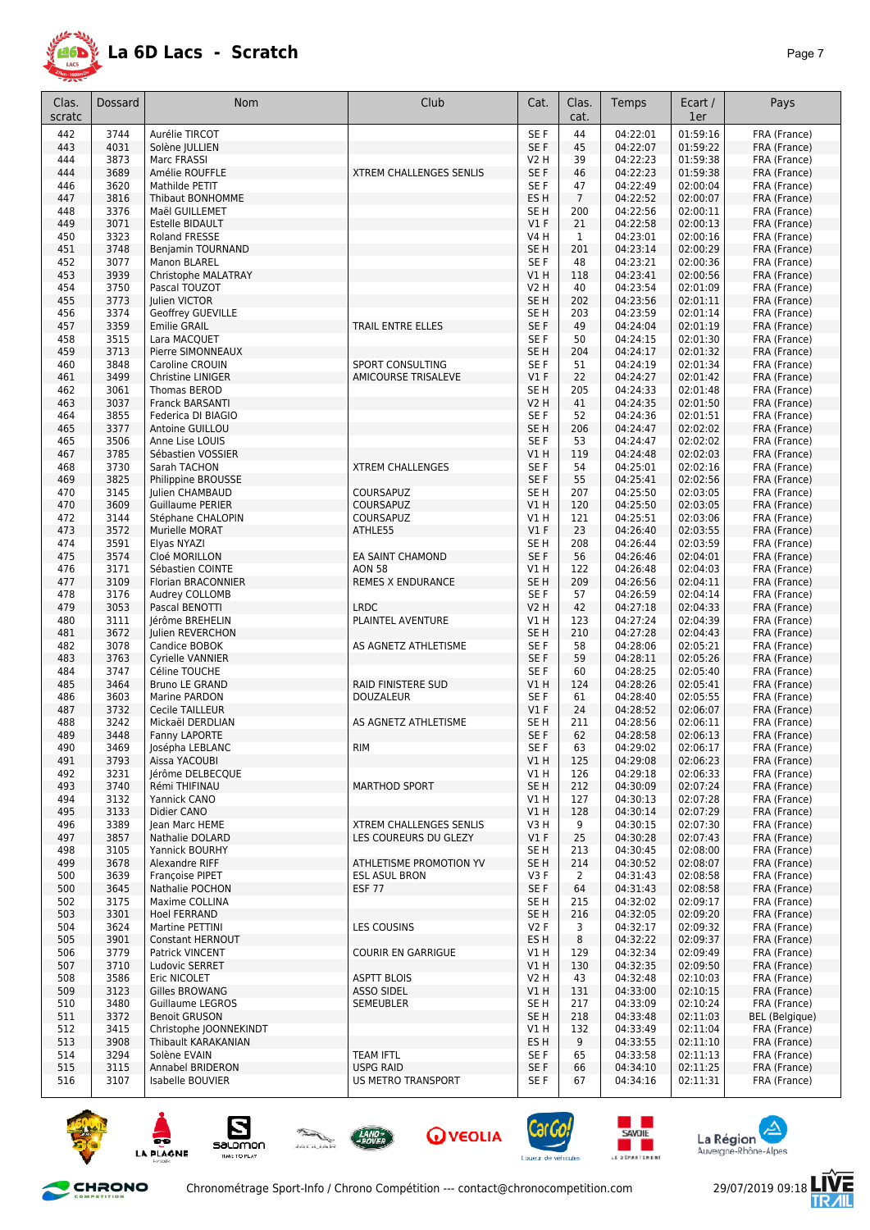

| Clas.<br>scratc | <b>Dossard</b> | Nom                                      | Club                                            | Cat.                      | Clas.<br>cat.        | Temps                | Ecart /<br>1er       | Pays                                  |
|-----------------|----------------|------------------------------------------|-------------------------------------------------|---------------------------|----------------------|----------------------|----------------------|---------------------------------------|
| 442             | 3744           | Aurélie TIRCOT                           |                                                 | SE <sub>F</sub>           | 44                   | 04:22:01             | 01:59:16             | FRA (France)                          |
| 443             | 4031           | Solène JULLIEN                           |                                                 | SE F                      | 45                   | 04:22:07             | 01:59:22             | FRA (France)                          |
| 444             | 3873           | Marc FRASSI                              |                                                 | V2 H                      | 39                   | 04:22:23             | 01:59:38             | FRA (France)                          |
| 444             | 3689           | Amélie ROUFFLE                           | <b>XTREM CHALLENGES SENLIS</b>                  | SE F                      | 46                   | 04:22:23             | 01:59:38             | FRA (France)                          |
| 446             | 3620           | Mathilde PETIT                           |                                                 | SE F                      | 47                   | 04:22:49             | 02:00:04             | FRA (France)                          |
| 447             | 3816           | Thibaut BONHOMME                         |                                                 | ES H                      | $\overline{7}$       | 04:22:52             | 02:00:07             | FRA (France)                          |
| 448             | 3376           | Maël GUILLEMET                           |                                                 | SE <sub>H</sub>           | 200                  | 04:22:56             | 02:00:11             | FRA (France)                          |
| 449             | 3071           | <b>Estelle BIDAULT</b>                   |                                                 | $VI$ F                    | 21                   | 04:22:58             | 02:00:13             | FRA (France)                          |
| 450             | 3323           | <b>Roland FRESSE</b>                     |                                                 | <b>V4 H</b>               | 1                    | 04:23:01             | 02:00:16             | FRA (France)                          |
| 451<br>452      | 3748<br>3077   | Benjamin TOURNAND<br>Manon BLAREL        |                                                 | SE <sub>H</sub><br>SE F   | 201<br>48            | 04:23:14<br>04:23:21 | 02:00:29<br>02:00:36 | FRA (France)<br>FRA (France)          |
| 453             | 3939           | Christophe MALATRAY                      |                                                 | V1 H                      | 118                  | 04:23:41             | 02:00:56             | FRA (France)                          |
| 454             | 3750           | Pascal TOUZOT                            |                                                 | V2 H                      | 40                   | 04:23:54             | 02:01:09             | FRA (France)                          |
| 455             | 3773           | Julien VICTOR                            |                                                 | SE <sub>H</sub>           | 202                  | 04:23:56             | 02:01:11             | FRA (France)                          |
| 456             | 3374           | Geoffrey GUEVILLE                        |                                                 | SE H                      | 203                  | 04:23:59             | 02:01:14             | FRA (France)                          |
| 457             | 3359           | <b>Emilie GRAIL</b>                      | TRAIL ENTRE ELLES                               | SE F                      | 49                   | 04:24:04             | 02:01:19             | FRA (France)                          |
| 458             | 3515           | Lara MACQUET                             |                                                 | SE F                      | 50                   | 04:24:15             | 02:01:30             | FRA (France)                          |
| 459             | 3713           | Pierre SIMONNEAUX                        |                                                 | SE <sub>H</sub>           | 204                  | 04:24:17             | 02:01:32             | FRA (France)                          |
| 460             | 3848           | Caroline CROUIN                          | <b>SPORT CONSULTING</b>                         | SE <sub>F</sub>           | 51                   | 04:24:19             | 02:01:34             | FRA (France)                          |
| 461<br>462      | 3499<br>3061   | <b>Christine LINIGER</b><br>Thomas BEROD | AMICOURSE TRISALEVE                             | $VI$ F<br>SE <sub>H</sub> | 22<br>205            | 04:24:27<br>04:24:33 | 02:01:42<br>02:01:48 | FRA (France)<br>FRA (France)          |
| 463             | 3037           | <b>Franck BARSANTI</b>                   |                                                 | <b>V2 H</b>               | 41                   | 04:24:35             | 02:01:50             | FRA (France)                          |
| 464             | 3855           | Federica DI BIAGIO                       |                                                 | SE <sub>F</sub>           | 52                   | 04:24:36             | 02:01:51             | FRA (France)                          |
| 465             | 3377           | Antoine GUILLOU                          |                                                 | SE <sub>H</sub>           | 206                  | 04:24:47             | 02:02:02             | FRA (France)                          |
| 465             | 3506           | Anne Lise LOUIS                          |                                                 | SE <sub>F</sub>           | 53                   | 04:24:47             | 02:02:02             | FRA (France)                          |
| 467             | 3785           | Sébastien VOSSIER                        |                                                 | V1 H                      | 119                  | 04:24:48             | 02:02:03             | FRA (France)                          |
| 468             | 3730           | Sarah TACHON                             | <b>XTREM CHALLENGES</b>                         | SE F                      | 54                   | 04:25:01             | 02:02:16             | FRA (France)                          |
| 469             | 3825           | Philippine BROUSSE                       |                                                 | SE F                      | 55                   | 04:25:41             | 02:02:56             | FRA (France)                          |
| 470             | 3145           | Julien CHAMBAUD                          | COURSAPUZ                                       | SE H                      | 207                  | 04:25:50             | 02:03:05             | FRA (France)                          |
| 470<br>472      | 3609<br>3144   | <b>Guillaume PERIER</b>                  | COURSAPUZ<br>COURSAPUZ                          | V1 H<br>V1 H              | 120<br>121           | 04:25:50<br>04:25:51 | 02:03:05<br>02:03:06 | FRA (France)                          |
| 473             | 3572           | Stéphane CHALOPIN<br>Murielle MORAT      | ATHLE55                                         | $VI$ F                    | 23                   | 04:26:40             | 02:03:55             | FRA (France)<br>FRA (France)          |
| 474             | 3591           | Elyas NYAZI                              |                                                 | SE <sub>H</sub>           | 208                  | 04:26:44             | 02:03:59             | FRA (France)                          |
| 475             | 3574           | Cloé MORILLON                            | EA SAINT CHAMOND                                | SE F                      | 56                   | 04:26:46             | 02:04:01             | FRA (France)                          |
| 476             | 3171           | Sébastien COINTE                         | <b>AON 58</b>                                   | V1 H                      | 122                  | 04:26:48             | 02:04:03             | FRA (France)                          |
| 477             | 3109           | Florian BRACONNIER                       | <b>REMES X ENDURANCE</b>                        | SE <sub>H</sub>           | 209                  | 04:26:56             | 02:04:11             | FRA (France)                          |
| 478             | 3176           | Audrey COLLOMB                           |                                                 | SE F                      | 57                   | 04:26:59             | 02:04:14             | FRA (France)                          |
| 479             | 3053           | Pascal BENOTTI                           | <b>LRDC</b>                                     | V2 H                      | 42                   | 04:27:18             | 02:04:33             | FRA (France)                          |
| 480             | 3111           | Jérôme BREHELIN                          | PLAINTEL AVENTURE                               | V1 H                      | 123                  | 04:27:24             | 02:04:39             | FRA (France)                          |
| 481<br>482      | 3672<br>3078   | Julien REVERCHON<br>Candice BOBOK        | AS AGNETZ ATHLETISME                            | SE H<br>SE F              | 210<br>58            | 04:27:28<br>04:28:06 | 02:04:43<br>02:05:21 | FRA (France)<br>FRA (France)          |
| 483             | 3763           | <b>Cyrielle VANNIER</b>                  |                                                 | SE F                      | 59                   | 04:28:11             | 02:05:26             | FRA (France)                          |
| 484             | 3747           | Céline TOUCHE                            |                                                 | SE <sub>F</sub>           | 60                   | 04:28:25             | 02:05:40             | FRA (France)                          |
| 485             | 3464           | Bruno LE GRAND                           | RAID FINISTERE SUD                              | V1 H                      | 124                  | 04:28:26             | 02:05:41             | FRA (France)                          |
| 486             | 3603           | Marine PARDON                            | <b>DOUZALEUR</b>                                | SE F                      | 61                   | 04:28:40             | 02:05:55             | FRA (France)                          |
| 487             | 3732           | <b>Cecile TAILLEUR</b>                   |                                                 | $VI$ F                    | 24                   | 04:28:52             | 02:06:07             | FRA (France)                          |
| 488             | 3242           | Mickaël DERDLIAN                         | AS AGNETZ ATHLETISME                            | SE <sub>H</sub>           | 211                  | 04:28:56             | 02:06:11             | FRA (France)                          |
| 489             | 3448           | Fanny LAPORTE                            |                                                 | SE F                      | 62                   | 04:28:58             | 02:06:13             | FRA (France)                          |
| 490<br>491      | 3469<br>3793   | Josépha LEBLANC<br>Aissa YACOUBI         | <b>RIM</b>                                      | SE F<br>V1 H              | 63<br>125            | 04:29:02<br>04:29:08 | 02:06:17<br>02:06:23 | FRA (France)<br>FRA (France)          |
| 492             | 3231           | lérôme DELBECOUE                         |                                                 | VIH                       | 126                  | 04:29:18             | 02:06:33             | FRA (France)                          |
| 493             | 3740           | Rémi THIFINAU                            | <b>MARTHOD SPORT</b>                            | SE H                      | 212                  | 04:30:09             | 02:07:24             | FRA (France)                          |
| 494             | 3132           | Yannick CANO                             |                                                 | V1 H                      | 127                  | 04:30:13             | 02:07:28             | FRA (France)                          |
| 495             | 3133           | Didier CANO                              |                                                 | V1H                       | 128                  | 04:30:14             | 02:07:29             | FRA (France)                          |
| 496             | 3389           | lean Marc HEME                           | <b>XTREM CHALLENGES SENLIS</b>                  | V3H                       | 9                    | 04:30:15             | 02:07:30             | FRA (France)                          |
| 497             | 3857           | Nathalie DOLARD                          | LES COUREURS DU GLEZY                           | $VI$ F                    | 25                   | 04:30:28             | 02:07:43             | FRA (France)                          |
| 498             | 3105           | Yannick BOURHY                           |                                                 | SE <sub>H</sub>           | 213                  | 04:30:45             | 02:08:00             | FRA (France)                          |
| 499             | 3678           | Alexandre RIFF                           | ATHLETISME PROMOTION YV<br><b>ESL ASUL BRON</b> | SE H                      | 214                  | 04:30:52             | 02:08:07             | FRA (France)                          |
| 500<br>500      | 3639<br>3645   | Françoise PIPET<br>Nathalie POCHON       | <b>ESF 77</b>                                   | V3F<br>SE F               | $\overline{2}$<br>64 | 04:31:43<br>04:31:43 | 02:08:58<br>02:08:58 | FRA (France)<br>FRA (France)          |
| 502             | 3175           | Maxime COLLINA                           |                                                 | SE <sub>H</sub>           | 215                  | 04:32:02             | 02:09:17             | FRA (France)                          |
| 503             | 3301           | <b>Hoel FERRAND</b>                      |                                                 | SE H                      | 216                  | 04:32:05             | 02:09:20             | FRA (France)                          |
| 504             | 3624           | Martine PETTINI                          | LES COUSINS                                     | V2F                       | 3                    | 04:32:17             | 02:09:32             | FRA (France)                          |
| 505             | 3901           | <b>Constant HERNOUT</b>                  |                                                 | ES H                      | 8                    | 04:32:22             | 02:09:37             | FRA (France)                          |
| 506             | 3779           | Patrick VINCENT                          | <b>COURIR EN GARRIGUE</b>                       | V1 H                      | 129                  | 04:32:34             | 02:09:49             | FRA (France)                          |
| 507             | 3710           | Ludovic SERRET                           |                                                 | V1H                       | 130                  | 04:32:35             | 02:09:50             | FRA (France)                          |
| 508             | 3586           | Eric NICOLET                             | <b>ASPTT BLOIS</b>                              | V2 H                      | 43                   | 04:32:48             | 02:10:03             | FRA (France)                          |
| 509             | 3123           | Gilles BROWANG                           | <b>ASSO SIDEL</b>                               | V1H                       | 131                  | 04:33:00             | 02:10:15             | FRA (France)                          |
| 510<br>511      | 3480<br>3372   | Guillaume LEGROS<br><b>Benoit GRUSON</b> | SEMEUBLER                                       | SE <sub>H</sub><br>SE H   | 217<br>218           | 04:33:09<br>04:33:48 | 02:10:24<br>02:11:03 | FRA (France)<br><b>BEL</b> (Belgique) |
| 512             | 3415           | Christophe JOONNEKINDT                   |                                                 | V1 H                      | 132                  | 04:33:49             | 02:11:04             | FRA (France)                          |
| 513             | 3908           | Thibault KARAKANIAN                      |                                                 | ES <sub>H</sub>           | 9                    | 04:33:55             | 02:11:10             | FRA (France)                          |
| 514             | 3294           | Solène EVAIN                             | <b>TEAM IFTL</b>                                | SE F                      | 65                   | 04:33:58             | 02:11:13             | FRA (France)                          |
| 515             | 3115           | <b>Annabel BRIDERON</b>                  | <b>USPG RAID</b>                                | SE F                      | 66                   | 04:34:10             | 02:11:25             | FRA (France)                          |
| 516             | 3107           | Isabelle BOUVIER                         | US METRO TRANSPORT                              | SE F                      | 67                   | 04:34:16             | 02:11:31             | FRA (France)                          |















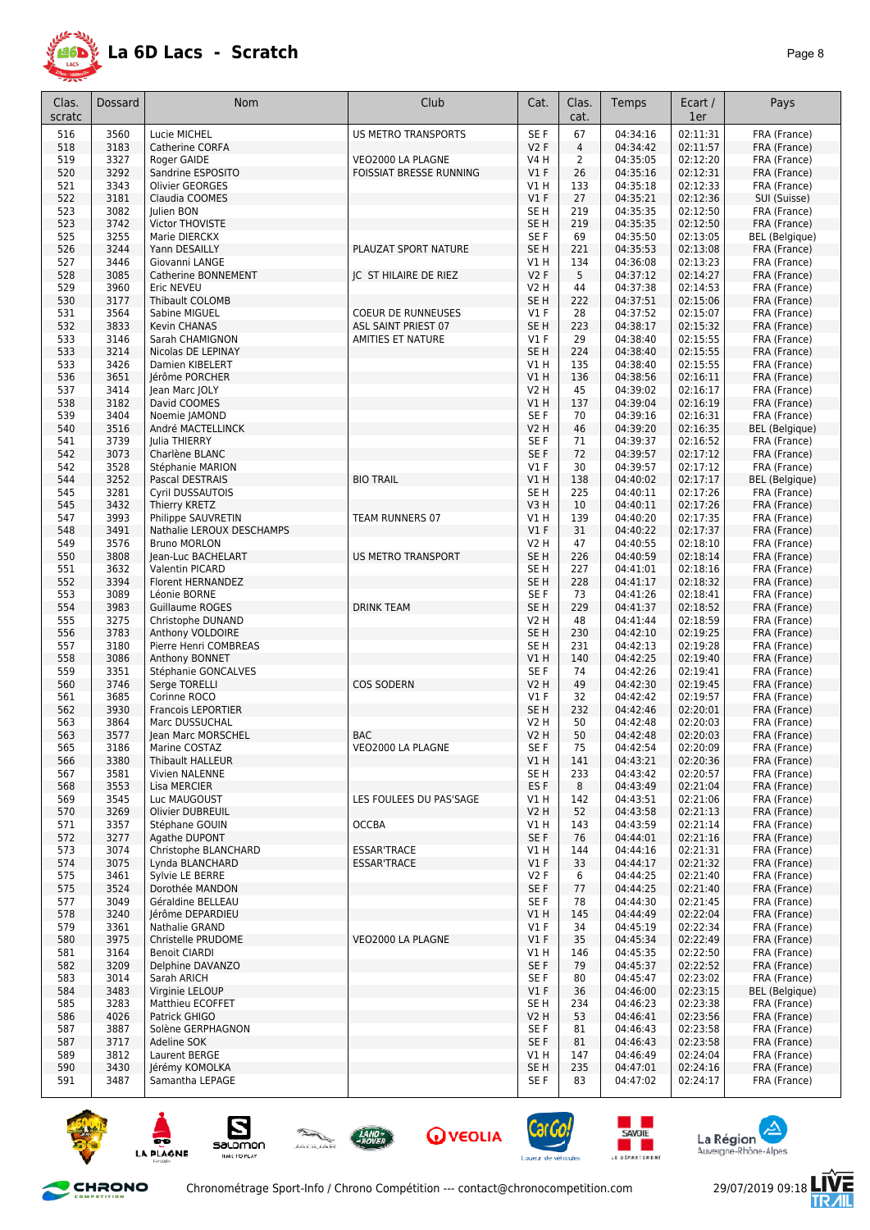

| Clas.      | <b>Dossard</b> | Nom                                     | Club                      | Cat.                    | Clas.      | Temps                | Ecart /              | Pays                         |
|------------|----------------|-----------------------------------------|---------------------------|-------------------------|------------|----------------------|----------------------|------------------------------|
| scratc     |                |                                         |                           |                         | cat.       |                      | 1er                  |                              |
| 516        | 3560           | Lucie MICHEL                            | US METRO TRANSPORTS       | SE <sub>F</sub>         | 67         | 04:34:16             | 02:11:31             | FRA (France)                 |
| 518        | 3183           | Catherine CORFA                         |                           | V2F                     | 4          | 04:34:42             | 02:11:57             | FRA (France)                 |
| 519        | 3327           | Roger GAIDE                             | VEO2000 LA PLAGNE         | <b>V4 H</b>             | 2          | 04:35:05             | 02:12:20             | FRA (France)                 |
| 520        | 3292           | Sandrine ESPOSITO                       | FOISSIAT BRESSE RUNNING   | V1F                     | 26         | 04:35:16             | 02:12:31             | FRA (France)                 |
| 521        | 3343           | Olivier GEORGES                         |                           | V1 H                    | 133        | 04:35:18             | 02:12:33             | FRA (France)                 |
| 522        | 3181           | Claudia COOMES                          |                           | V1F                     | 27         | 04:35:21             | 02:12:36             | SUI (Suisse)                 |
| 523<br>523 | 3082<br>3742   | Julien BON<br>Victor THOVISTE           |                           | SE H<br>SE <sub>H</sub> | 219<br>219 | 04:35:35<br>04:35:35 | 02:12:50<br>02:12:50 | FRA (France)<br>FRA (France) |
| 525        | 3255           | Marie DIERCKX                           |                           | SE F                    | 69         | 04:35:50             | 02:13:05             | <b>BEL</b> (Belgique)        |
| 526        | 3244           | Yann DESAILLY                           | PLAUZAT SPORT NATURE      | SE H                    | 221        | 04:35:53             | 02:13:08             | FRA (France)                 |
| 527        | 3446           | Giovanni LANGE                          |                           | V1 H                    | 134        | 04:36:08             | 02:13:23             | FRA (France)                 |
| 528        | 3085           | Catherine BONNEMENT                     | JC ST HILAIRE DE RIEZ     | <b>V2F</b>              | 5          | 04:37:12             | 02:14:27             | FRA (France)                 |
| 529        | 3960           | Eric NEVEU                              |                           | V2 H                    | 44         | 04:37:38             | 02:14:53             | FRA (France)                 |
| 530        | 3177           | Thibault COLOMB                         |                           | SE <sub>H</sub>         | 222        | 04:37:51             | 02:15:06             | FRA (France)                 |
| 531        | 3564           | Sabine MIGUEL                           | <b>COEUR DE RUNNEUSES</b> | $VI$ F                  | 28         | 04:37:52             | 02:15:07             | FRA (France)                 |
| 532        | 3833           | Kevin CHANAS                            | ASL SAINT PRIEST 07       | SE <sub>H</sub>         | 223        | 04:38:17             | 02:15:32             | FRA (France)                 |
| 533        | 3146           | Sarah CHAMIGNON                         | AMITIES ET NATURE         | $VI$ F                  | 29         | 04:38:40             | 02:15:55             | FRA (France)                 |
| 533<br>533 | 3214<br>3426   | Nicolas DE LEPINAY<br>Damien KIBELERT   |                           | SE <sub>H</sub><br>V1 H | 224<br>135 | 04:38:40<br>04:38:40 | 02:15:55<br>02:15:55 | FRA (France)<br>FRA (France) |
| 536        | 3651           | Jérôme PORCHER                          |                           | V1 H                    | 136        | 04:38:56             | 02:16:11             | FRA (France)                 |
| 537        | 3414           | Jean Marc JOLY                          |                           | V2 H                    | 45         | 04:39:02             | 02:16:17             | FRA (France)                 |
| 538        | 3182           | David COOMES                            |                           | V1 H                    | 137        | 04:39:04             | 02:16:19             | FRA (France)                 |
| 539        | 3404           | Noemie IAMOND                           |                           | SE F                    | 70         | 04:39:16             | 02:16:31             | FRA (France)                 |
| 540        | 3516           | André MACTELLINCK                       |                           | V2 H                    | 46         | 04:39:20             | 02:16:35             | BEL (Belgique)               |
| 541        | 3739           | Julia THIERRY                           |                           | SE F                    | 71         | 04:39:37             | 02:16:52             | FRA (France)                 |
| 542        | 3073           | Charlène BLANC                          |                           | SE F                    | 72         | 04:39:57             | 02:17:12             | FRA (France)                 |
| 542        | 3528           | Stéphanie MARION                        |                           | $VI$ F                  | 30         | 04:39:57             | 02:17:12             | FRA (France)                 |
| 544        | 3252           | Pascal DESTRAIS                         | <b>BIO TRAIL</b>          | V1 H                    | 138        | 04:40:02             | 02:17:17             | <b>BEL</b> (Belgique)        |
| 545        | 3281           | Cyril DUSSAUTOIS                        |                           | SE H                    | 225        | 04:40:11             | 02:17:26             | FRA (France)                 |
| 545<br>547 | 3432<br>3993   | Thierry KRETZ<br>Philippe SAUVRETIN     | TEAM RUNNERS 07           | V3H<br>V1 H             | 10<br>139  | 04:40:11<br>04:40:20 | 02:17:26<br>02:17:35 | FRA (France)<br>FRA (France) |
| 548        | 3491           | Nathalie LEROUX DESCHAMPS               |                           | V1F                     | 31         | 04:40:22             | 02:17:37             | FRA (France)                 |
| 549        | 3576           | <b>Bruno MORLON</b>                     |                           | V2 H                    | 47         | 04:40:55             | 02:18:10             | FRA (France)                 |
| 550        | 3808           | Jean-Luc BACHELART                      | US METRO TRANSPORT        | SE <sub>H</sub>         | 226        | 04:40:59             | 02:18:14             | FRA (France)                 |
| 551        | 3632           | Valentin PICARD                         |                           | SE H                    | 227        | 04:41:01             | 02:18:16             | FRA (France)                 |
| 552        | 3394           | Florent HERNANDEZ                       |                           | SE <sub>H</sub>         | 228        | 04:41:17             | 02:18:32             | FRA (France)                 |
| 553        | 3089           | Léonie BORNE                            |                           | SE F                    | 73         | 04:41:26             | 02:18:41             | FRA (France)                 |
| 554        | 3983           | Guillaume ROGES                         | <b>DRINK TEAM</b>         | SE H                    | 229        | 04:41:37             | 02:18:52             | FRA (France)                 |
| 555        | 3275           | Christophe DUNAND                       |                           | V2 H                    | 48         | 04:41:44             | 02:18:59             | FRA (France)                 |
| 556        | 3783           | Anthony VOLDOIRE                        |                           | SE <sub>H</sub>         | 230        | 04:42:10             | 02:19:25             | FRA (France)                 |
| 557<br>558 | 3180<br>3086   | Pierre Henri COMBREAS<br>Anthony BONNET |                           | SE H<br>V1 H            | 231<br>140 | 04:42:13<br>04:42:25 | 02:19:28<br>02:19:40 | FRA (France)<br>FRA (France) |
| 559        | 3351           | Stéphanie GONCALVES                     |                           | SE F                    | 74         | 04:42:26             | 02:19:41             | FRA (France)                 |
| 560        | 3746           | Serge TORELLI                           | <b>COS SODERN</b>         | V2 H                    | 49         | 04:42:30             | 02:19:45             | FRA (France)                 |
| 561        | 3685           | Corinne ROCO                            |                           | $VI$ F                  | 32         | 04:42:42             | 02:19:57             | FRA (France)                 |
| 562        | 3930           | <b>Francois LEPORTIER</b>               |                           | SE <sub>H</sub>         | 232        | 04:42:46             | 02:20:01             | FRA (France)                 |
| 563        | 3864           | Marc DUSSUCHAL                          |                           | V2 H                    | 50         | 04:42:48             | 02:20:03             | FRA (France)                 |
| 563        | 3577           | Jean Marc MORSCHEL                      | <b>BAC</b>                | V2 H                    | 50         | 04:42:48             | 02:20:03             | FRA (France)                 |
| 565        | 3186           | Marine COSTAZ                           | VEO2000 LA PLAGNE         | SE F                    | 75         | 04:42:54             | 02:20:09             | FRA (France)                 |
| 566        | 3380           | Thibault HALLEUR                        |                           | V1 H                    | 141        | 04:43:21             | 02:20:36             | FRA (France)                 |
| 567<br>568 | 3581<br>3553   | Vivien NALENNE<br>Lisa MERCIER          |                           | SE H<br>ES <sub>F</sub> | 233<br>8   | 04:43:42<br>04:43:49 | 02:20:57<br>02:21:04 | FRA (France)<br>FRA (France) |
| 569        | 3545           | Luc MAUGOUST                            | LES FOULEES DU PAS'SAGE   | V1 H                    | 142        | 04:43:51             | 02:21:06             | FRA (France)                 |
| 570        | 3269           | Olivier DUBREUIL                        |                           | V2 H                    | 52         | 04:43:58             | 02:21:13             | FRA (France)                 |
| 571        | 3357           | Stéphane GOUIN                          | <b>OCCBA</b>              | V1 H                    | 143        | 04:43:59             | 02:21:14             | FRA (France)                 |
| 572        | 3277           | Agathe DUPONT                           |                           | SE F                    | 76         | 04:44:01             | 02:21:16             | FRA (France)                 |
| 573        | 3074           | Christophe BLANCHARD                    | <b>ESSAR'TRACE</b>        | V1 H                    | 144        | 04:44:16             | 02:21:31             | FRA (France)                 |
| 574        | 3075           | Lynda BLANCHARD                         | <b>ESSAR'TRACE</b>        | $VI$ F                  | 33         | 04:44:17             | 02:21:32             | FRA (France)                 |
| 575        | 3461           | Sylvie LE BERRE                         |                           | V2F                     | 6          | 04:44:25             | 02:21:40             | FRA (France)                 |
| 575        | 3524           | Dorothée MANDON                         |                           | SE F                    | 77         | 04:44:25             | 02:21:40             | FRA (France)                 |
| 577        | 3049           | Géraldine BELLEAU                       |                           | SE F                    | 78         | 04:44:30             | 02:21:45             | FRA (France)                 |
| 578<br>579 | 3240           | Jérôme DEPARDIEU                        |                           | V1 H                    | 145<br>34  | 04:44:49<br>04:45:19 | 02:22:04<br>02:22:34 | FRA (France)                 |
| 580        | 3361<br>3975   | Nathalie GRAND<br>Christelle PRUDOME    | VEO2000 LA PLAGNE         | V1 F<br>$VI$ F          | 35         | 04:45:34             | 02:22:49             | FRA (France)<br>FRA (France) |
| 581        | 3164           | <b>Benoit CIARDI</b>                    |                           | V1 H                    | 146        | 04:45:35             | 02:22:50             | FRA (France)                 |
| 582        | 3209           | Delphine DAVANZO                        |                           | SE F                    | 79         | 04:45:37             | 02:22:52             | FRA (France)                 |
| 583        | 3014           | Sarah ARICH                             |                           | SE F                    | 80         | 04:45:47             | 02:23:02             | FRA (France)                 |
| 584        | 3483           | Virginie LELOUP                         |                           | $VI$ F                  | 36         | 04:46:00             | 02:23:15             | BEL (Belgique)               |
| 585        | 3283           | Matthieu ECOFFET                        |                           | SE H                    | 234        | 04:46:23             | 02:23:38             | FRA (France)                 |
| 586        | 4026           | Patrick GHIGO                           |                           | V2 H                    | 53         | 04:46:41             | 02:23:56             | FRA (France)                 |
| 587        | 3887           | Solène GERPHAGNON                       |                           | SE F                    | 81         | 04:46:43             | 02:23:58             | FRA (France)                 |
| 587        | 3717           | Adeline SOK                             |                           | SE F                    | 81         | 04:46:43             | 02:23:58             | FRA (France)                 |
| 589<br>590 | 3812<br>3430   | Laurent BERGE<br>Jérémy KOMOLKA         |                           | V1 H<br>SE H            | 147<br>235 | 04:46:49<br>04:47:01 | 02:24:04<br>02:24:16 | FRA (France)<br>FRA (France) |
| 591        | 3487           | Samantha LEPAGE                         |                           | SE F                    | 83         | 04:47:02             | 02:24:17             | FRA (France)                 |
|            |                |                                         |                           |                         |            |                      |                      |                              |











and the second





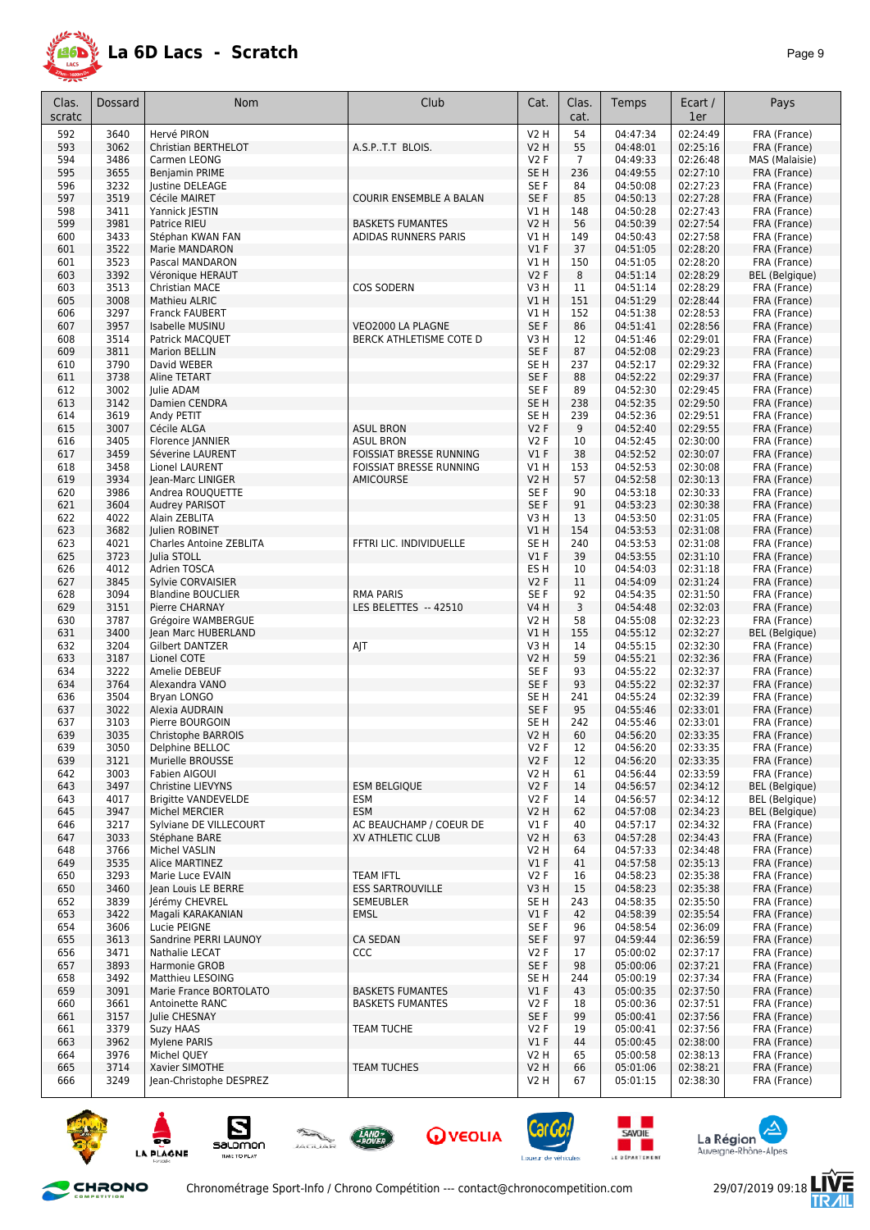

| Clas.<br>scratc | Dossard      | <b>Nom</b>                                 | Club                                               | Cat.            | Clas.<br>cat. | Temps                | Ecart /<br>1er       | Pays                         |
|-----------------|--------------|--------------------------------------------|----------------------------------------------------|-----------------|---------------|----------------------|----------------------|------------------------------|
| 592             | 3640         | Hervé PIRON                                |                                                    | <b>V2 H</b>     | 54            | 04:47:34             | 02:24:49             | FRA (France)                 |
| 593             | 3062         | Christian BERTHELOT                        | A.S.PT.T BLOIS.                                    | V2 H            | 55            | 04:48:01             | 02:25:16             | FRA (France)                 |
| 594             | 3486         | Carmen LEONG                               |                                                    | V2F             | 7             | 04:49:33             | 02:26:48             | MAS (Malaisie)               |
| 595             | 3655         | Benjamin PRIME                             |                                                    | SE H            | 236           | 04:49:55             | 02:27:10             | FRA (France)                 |
| 596             | 3232         | lustine DELEAGE                            |                                                    | SE F            | 84            | 04:50:08             | 02:27:23             | FRA (France)                 |
| 597             | 3519         | Cécile MAIRET                              | <b>COURIR ENSEMBLE A BALAN</b>                     | SE F            | 85            | 04:50:13             | 02:27:28             | FRA (France)                 |
| 598             | 3411         | Yannick JESTIN                             |                                                    | V1 H            | 148           | 04:50:28             | 02:27:43             | FRA (France)                 |
| 599             | 3981         | Patrice RIEU                               | <b>BASKETS FUMANTES</b>                            | V2 H            | 56            | 04:50:39             | 02:27:54             | FRA (France)                 |
| 600             | 3433         | Stéphan KWAN FAN                           | ADIDAS RUNNERS PARIS                               | V1 H            | 149           | 04:50:43             | 02:27:58             | FRA (France)                 |
| 601             | 3522         | Marie MANDARON                             |                                                    | V1F             | 37            | 04:51:05             | 02:28:20             | FRA (France)                 |
| 601             | 3523         | Pascal MANDARON                            |                                                    | V1 H            | 150           | 04:51:05             | 02:28:20             | FRA (France)                 |
| 603             | 3392         | Véronique HERAUT                           |                                                    | V2F             | 8             | 04:51:14             | 02:28:29             | <b>BEL</b> (Belgique)        |
| 603             | 3513         | <b>Christian MACE</b>                      | <b>COS SODERN</b>                                  | V3 H            | 11            | 04:51:14             | 02:28:29             | FRA (France)                 |
| 605             | 3008         | Mathieu ALRIC                              |                                                    | V1 H            | 151           | 04:51:29             | 02:28:44             | FRA (France)                 |
| 606             | 3297         | <b>Franck FAUBERT</b>                      |                                                    | V1 H            | 152           | 04:51:38             | 02:28:53             | FRA (France)                 |
| 607             | 3957         | Isabelle MUSINU                            | VEO2000 LA PLAGNE                                  | SE F            | 86            | 04:51:41             | 02:28:56             | FRA (France)                 |
| 608             | 3514         | Patrick MACQUET                            | BERCK ATHLETISME COTE D                            | V3 H            | 12            | 04:51:46             | 02:29:01             | FRA (France)                 |
| 609             | 3811         | <b>Marion BELLIN</b>                       |                                                    | SE <sub>F</sub> | 87            | 04:52:08             | 02:29:23             | FRA (France)                 |
| 610             | 3790         | David WEBER                                |                                                    | SE H            | 237           | 04:52:17             | 02:29:32             | FRA (France)                 |
| 611             | 3738         | Aline TETART                               |                                                    | SE <sub>F</sub> | 88            | 04:52:22             | 02:29:37             | FRA (France)                 |
| 612             | 3002         | Julie ADAM                                 |                                                    | SE F            | 89            | 04:52:30             | 02:29:45             | FRA (France)                 |
| 613             | 3142         | Damien CENDRA                              |                                                    | SE H            | 238           | 04:52:35             | 02:29:50             | FRA (France)                 |
| 614             | 3619         | Andy PETIT                                 |                                                    | SE H            | 239           | 04:52:36             | 02:29:51             | FRA (France)                 |
| 615             | 3007         | Cécile ALGA                                | <b>ASUL BRON</b>                                   | <b>V2F</b>      | 9             | 04:52:40             | 02:29:55             | FRA (France)                 |
| 616             | 3405         | Florence JANNIER                           | <b>ASUL BRON</b>                                   | V2F             | 10            | 04:52:45             | 02:30:00             | FRA (France)                 |
| 617             | 3459         | Séverine LAURENT                           | FOISSIAT BRESSE RUNNING                            | $VI$ F          | 38            | 04:52:52             | 02:30:07             | FRA (France)                 |
| 618             | 3458         | Lionel LAURENT                             | FOISSIAT BRESSE RUNNING                            | V1 H            | 153           | 04:52:53             | 02:30:08             | FRA (France)                 |
| 619             | 3934         | lean-Marc LINIGER                          | AMICOURSE                                          | V2 H            | 57            | 04:52:58             | 02:30:13             | FRA (France)                 |
| 620             | 3986         | Andrea ROUQUETTE                           |                                                    | SE F            | 90            | 04:53:18             | 02:30:33             | FRA (France)                 |
| 621             | 3604         | Audrey PARISOT                             |                                                    | SE F            | 91            | 04:53:23             | 02:30:38             | FRA (France)                 |
| 622             | 4022         | Alain ZEBLITA                              |                                                    | V3 H            | 13            | 04:53:50             | 02:31:05             | FRA (France)                 |
| 623             | 3682         | Julien ROBINET                             |                                                    | V1 H            | 154           | 04:53:53             | 02:31:08             | FRA (France)                 |
| 623             | 4021         | <b>Charles Antoine ZEBLITA</b>             | FFTRI LIC. INDIVIDUELLE                            | SE H            | 240           | 04:53:53             | 02:31:08             | FRA (France)                 |
| 625             | 3723         | Julia STOLL                                |                                                    | V1F             | 39            | 04:53:55             | 02:31:10             | FRA (France)                 |
| 626             | 4012         | Adrien TOSCA                               |                                                    | ES H            | 10            | 04:54:03             | 02:31:18             | FRA (France)                 |
| 627             | 3845         | Sylvie CORVAISIER                          | <b>RMA PARIS</b>                                   | <b>V2F</b>      | 11            | 04:54:09             | 02:31:24<br>02:31:50 | FRA (France)                 |
| 628<br>629      | 3094<br>3151 | <b>Blandine BOUCLIER</b><br>Pierre CHARNAY | LES BELETTES -- 42510                              | SE F<br>V4 H    | 92<br>3       | 04:54:35<br>04:54:48 | 02:32:03             | FRA (France)                 |
| 630             | 3787         | Grégoire WAMBERGUE                         |                                                    | V2 H            | 58            | 04:55:08             | 02:32:23             | FRA (France)<br>FRA (France) |
| 631             | 3400         | Jean Marc HUBERLAND                        |                                                    | V1 H            | 155           | 04:55:12             | 02:32:27             | <b>BEL</b> (Belgique)        |
| 632             | 3204         | <b>Gilbert DANTZER</b>                     | AJT                                                | V3 H            | 14            | 04:55:15             | 02:32:30             | FRA (France)                 |
| 633             | 3187         | Lionel COTE                                |                                                    | V2 H            | 59            | 04:55:21             | 02:32:36             | FRA (France)                 |
| 634             | 3222         | Amelie DEBEUF                              |                                                    | SE F            | 93            | 04:55:22             | 02:32:37             | FRA (France)                 |
| 634             | 3764         | Alexandra VANO                             |                                                    | SE <sub>F</sub> | 93            | 04:55:22             | 02:32:37             | FRA (France)                 |
| 636             | 3504         | Bryan LONGO                                |                                                    | SE H            | 241           | 04:55:24             | 02:32:39             | FRA (France)                 |
| 637             | 3022         | Alexia AUDRAIN                             |                                                    | SE <sub>F</sub> | 95            | 04:55:46             | 02:33:01             | FRA (France)                 |
| 637             | 3103         | Pierre BOURGOIN                            |                                                    | SE H            | 242           | 04:55:46             | 02:33:01             | FRA (France)                 |
| 639             | 3035         | Christophe BARROIS                         |                                                    | V2 H            | 60            | 04:56:20             | 02:33:35             | FRA (France)                 |
| 639             | 3050         | Delphine BELLOC                            |                                                    | V2 F            | 12            | 04:56:20             | 02:33:35             | FRA (France)                 |
| 639             | 3121         | Murielle BROUSSE                           |                                                    | V2F             | 12            | 04:56:20             | 02:33:35             | FRA (France)                 |
| 642             | 3003         | Fabien AIGOUI                              |                                                    | V2H             | 61            | 04:56:44             | 02:33:59             | FRA (France)                 |
| 643             | 3497         | Christine LIEVYNS                          | <b>ESM BELGIOUE</b>                                | V2F             | 14            | 04:56:57             | 02:34:12             | <b>BEL</b> (Belgique)        |
| 643             | 4017         | <b>Brigitte VANDEVELDE</b>                 | <b>ESM</b>                                         | V2F             | 14            | 04:56:57             | 02:34:12             | <b>BEL</b> (Belgique)        |
| 645             | 3947         | <b>Michel MERCIER</b>                      | <b>ESM</b>                                         | V2 H            | 62            | 04:57:08             | 02:34:23             | BEL (Belgique)               |
| 646             | 3217         | Sylviane DE VILLECOURT                     | AC BEAUCHAMP / COEUR DE                            | $VI$ F          | 40            | 04:57:17             | 02:34:32             | FRA (France)                 |
| 647             | 3033         | Stéphane BARE                              | XV ATHLETIC CLUB                                   | V2 H            | 63            | 04:57:28             | 02:34:43             | FRA (France)                 |
| 648             | 3766         | Michel VASLIN                              |                                                    | V2 H            | 64            | 04:57:33             | 02:34:48             | FRA (France)                 |
| 649             | 3535         | Alice MARTINEZ                             |                                                    | $VI$ F          | 41            | 04:57:58             | 02:35:13             | FRA (France)                 |
| 650             | 3293         | Marie Luce EVAIN                           | <b>TEAM IFTL</b>                                   | <b>V2F</b>      | 16            | 04:58:23             | 02:35:38             | FRA (France)                 |
| 650             | 3460         | Jean Louis LE BERRE                        | <b>ESS SARTROUVILLE</b>                            | V3H             | 15            | 04:58:23             | 02:35:38             | FRA (France)                 |
| 652             | 3839         | Jérémy CHEVREL                             | <b>SEMEUBLER</b>                                   | SE H            | 243           | 04:58:35             | 02:35:50             | FRA (France)                 |
| 653             | 3422         | Magali KARAKANIAN                          | <b>EMSL</b>                                        | $VI$ F          | 42            | 04:58:39             | 02:35:54             | FRA (France)                 |
| 654             | 3606         | Lucie PEIGNE                               |                                                    | SE F            | 96            | 04:58:54             | 02:36:09             | FRA (France)                 |
| 655             | 3613         | Sandrine PERRI LAUNOY                      | <b>CA SEDAN</b>                                    | SE F            | 97            | 04:59:44             | 02:36:59             | FRA (France)                 |
| 656             | 3471         | Nathalie LECAT                             | <b>CCC</b>                                         | V2 F            | 17            | 05:00:02             | 02:37:17             | FRA (France)                 |
| 657             | 3893         | Harmonie GROB                              |                                                    | SE F            | 98            | 05:00:06             | 02:37:21             | FRA (France)                 |
| 658             | 3492         | Matthieu LESOING                           |                                                    | SE H            | 244           | 05:00:19             | 02:37:34             | FRA (France)                 |
| 659<br>660      | 3091<br>3661 | Marie France BORTOLATO<br>Antoinette RANC  | <b>BASKETS FUMANTES</b><br><b>BASKETS FUMANTES</b> | $VI$ F<br>V2F   | 43<br>18      | 05:00:35<br>05:00:36 | 02:37:50<br>02:37:51 | FRA (France)<br>FRA (France) |
| 661             | 3157         | Julie CHESNAY                              |                                                    | SE F            | 99            | 05:00:41             | 02:37:56             | FRA (France)                 |
| 661             | 3379         | Suzy HAAS                                  | <b>TEAM TUCHE</b>                                  | V2F             | 19            | 05:00:41             | 02:37:56             | FRA (France)                 |
| 663             | 3962         | Mylene PARIS                               |                                                    | $VI$ F          | 44            | 05:00:45             | 02:38:00             | FRA (France)                 |
| 664             | 3976         | Michel QUEY                                |                                                    | V2H             | 65            | 05:00:58             | 02:38:13             | FRA (France)                 |
| 665             | 3714         | Xavier SIMOTHE                             | <b>TEAM TUCHES</b>                                 | V2 H            | 66            | 05:01:06             | 02:38:21             | FRA (France)                 |
| 666             | 3249         | Jean-Christophe DESPREZ                    |                                                    | V2 H            | 67            | 05:01:15             | 02:38:30             | FRA (France)                 |
|                 |              |                                            |                                                    |                 |               |                      |                      |                              |















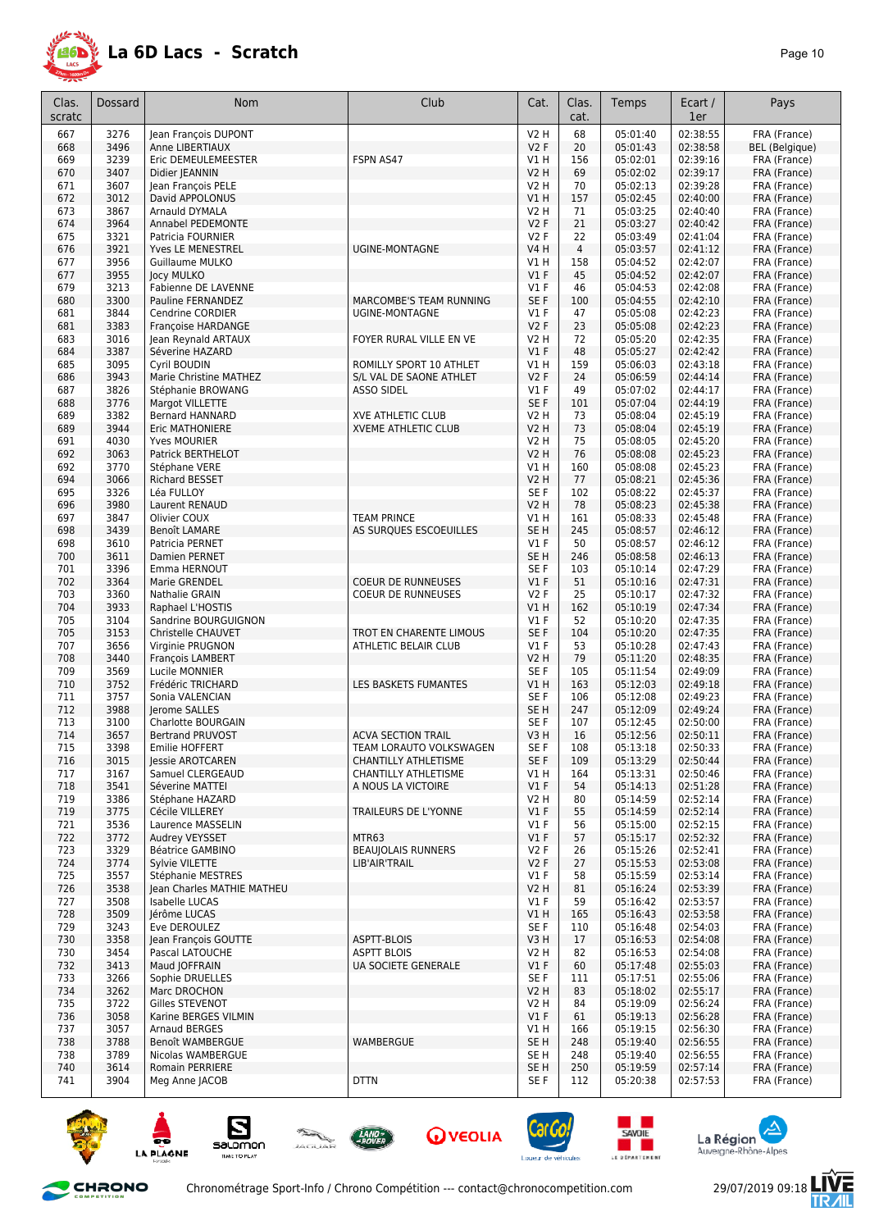

| Clas.<br>scratc | Dossard      | <b>Nom</b>                               | Club                                            | Cat.                               | Clas.<br>cat. | Temps                | Ecart /<br>1er       | Pays                         |
|-----------------|--------------|------------------------------------------|-------------------------------------------------|------------------------------------|---------------|----------------------|----------------------|------------------------------|
| 667             | 3276         | Jean François DUPONT                     |                                                 | V2 H                               | 68            | 05:01:40             | 02:38:55             | FRA (France)                 |
| 668             | 3496         | Anne LIBERTIAUX                          |                                                 | V2F                                | 20            | 05:01:43             | 02:38:58             | <b>BEL</b> (Belgique)        |
| 669             | 3239         | Eric DEMEULEMEESTER                      | FSPN AS47                                       | V1 H                               | 156           | 05:02:01             | 02:39:16             | FRA (France)                 |
| 670             | 3407         | Didier JEANNIN                           |                                                 | V2 H                               | 69            | 05:02:02             | 02:39:17             | FRA (France)                 |
| 671             | 3607         | Jean François PELE                       |                                                 | V2 H                               | 70            | 05:02:13             | 02:39:28             | FRA (France)                 |
| 672             | 3012         | David APPOLONUS                          |                                                 | V1 H                               | 157           | 05:02:45             | 02:40:00             | FRA (France)                 |
| 673             | 3867         | Arnauld DYMALA                           |                                                 | V2 H                               | 71            | 05:03:25             | 02:40:40             | FRA (France)                 |
| 674             | 3964         | <b>Annabel PEDEMONTE</b>                 |                                                 | <b>V2F</b>                         | 21            | 05:03:27             | 02:40:42<br>02:41:04 | FRA (France)                 |
| 675<br>676      | 3321<br>3921 | Patricia FOURNIER<br>Yves LE MENESTREL   | <b>UGINE-MONTAGNE</b>                           | <b>V2F</b><br><b>V4 H</b>          | 22<br>4       | 05:03:49<br>05:03:57 | 02:41:12             | FRA (France)<br>FRA (France) |
| 677             | 3956         | Guillaume MULKO                          |                                                 | V1 H                               | 158           | 05:04:52             | 02:42:07             | FRA (France)                 |
| 677             | 3955         | Jocy MULKO                               |                                                 | V1F                                | 45            | 05:04:52             | 02:42:07             | FRA (France)                 |
| 679             | 3213         | Fabienne DE LAVENNE                      |                                                 | $VI$ F                             | 46            | 05:04:53             | 02:42:08             | FRA (France)                 |
| 680             | 3300         | <b>Pauline FERNANDEZ</b>                 | <b>MARCOMBE'S TEAM RUNNING</b>                  | SE F                               | 100           | 05:04:55             | 02:42:10             | FRA (France)                 |
| 681             | 3844         | Cendrine CORDIER                         | UGINE-MONTAGNE                                  | $VI$ F                             | 47            | 05:05:08             | 02:42:23             | FRA (France)                 |
| 681             | 3383         | <b>Françoise HARDANGE</b>                |                                                 | V2F                                | 23            | 05:05:08             | 02:42:23             | FRA (France)                 |
| 683<br>684      | 3016<br>3387 | Jean Reynald ARTAUX<br>Séverine HAZARD   | FOYER RURAL VILLE EN VE                         | V2 H<br>$VI$ F                     | 72<br>48      | 05:05:20<br>05:05:27 | 02:42:35<br>02:42:42 | FRA (France)<br>FRA (France) |
| 685             | 3095         | Cyril BOUDIN                             | ROMILLY SPORT 10 ATHLET                         | V1 H                               | 159           | 05:06:03             | 02:43:18             | FRA (France)                 |
| 686             | 3943         | Marie Christine MATHEZ                   | S/L VAL DE SAONE ATHLET                         | <b>V2F</b>                         | 24            | 05:06:59             | 02:44:14             | FRA (France)                 |
| 687             | 3826         | Stéphanie BROWANG                        | <b>ASSO SIDEL</b>                               | $VI$ F                             | 49            | 05:07:02             | 02:44:17             | FRA (France)                 |
| 688             | 3776         | Margot VILLETTE                          |                                                 | SE F                               | 101           | 05:07:04             | 02:44:19             | FRA (France)                 |
| 689             | 3382         | <b>Bernard HANNARD</b>                   | <b>XVE ATHLETIC CLUB</b>                        | V2 H                               | 73            | 05:08:04             | 02:45:19             | FRA (France)                 |
| 689             | 3944         | Eric MATHONIERE                          | <b>XVEME ATHLETIC CLUB</b>                      | V2 H                               | 73            | 05:08:04             | 02:45:19             | FRA (France)                 |
| 691<br>692      | 4030<br>3063 | Yves MOURIER<br><b>Patrick BERTHELOT</b> |                                                 | V2 H<br><b>V2 H</b>                | 75<br>76      | 05:08:05<br>05:08:08 | 02:45:20<br>02:45:23 | FRA (France)<br>FRA (France) |
| 692             | 3770         | Stéphane VERE                            |                                                 | V1 H                               | 160           | 05:08:08             | 02:45:23             | FRA (France)                 |
| 694             | 3066         | <b>Richard BESSET</b>                    |                                                 | V2 H                               | 77            | 05:08:21             | 02:45:36             | FRA (France)                 |
| 695             | 3326         | Léa FULLOY                               |                                                 | SE F                               | 102           | 05:08:22             | 02:45:37             | FRA (France)                 |
| 696             | 3980         | <b>Laurent RENAUD</b>                    |                                                 | V2 H                               | 78            | 05:08:23             | 02:45:38             | FRA (France)                 |
| 697             | 3847         | Olivier COUX                             | <b>TEAM PRINCE</b>                              | V1 H                               | 161           | 05:08:33             | 02:45:48             | FRA (France)                 |
| 698             | 3439         | Benoît LAMARE                            | AS SURQUES ESCOEUILLES                          | SE <sub>H</sub>                    | 245           | 05:08:57             | 02:46:12             | FRA (France)                 |
| 698             | 3610         | Patricia PERNET                          |                                                 | $VI$ F                             | 50            | 05:08:57             | 02:46:12             | FRA (France)                 |
| 700<br>701      | 3611<br>3396 | Damien PERNET<br>Emma HERNOUT            |                                                 | SE <sub>H</sub><br>SE <sub>F</sub> | 246<br>103    | 05:08:58<br>05:10:14 | 02:46:13<br>02:47:29 | FRA (France)<br>FRA (France) |
| 702             | 3364         | Marie GRENDEL                            | <b>COEUR DE RUNNEUSES</b>                       | V1F                                | 51            | 05:10:16             | 02:47:31             | FRA (France)                 |
| 703             | 3360         | Nathalie GRAIN                           | <b>COEUR DE RUNNEUSES</b>                       | <b>V2F</b>                         | 25            | 05:10:17             | 02:47:32             | FRA (France)                 |
| 704             | 3933         | Raphael L'HOSTIS                         |                                                 | VIH                                | 162           | 05:10:19             | 02:47:34             | FRA (France)                 |
| 705             | 3104         | Sandrine BOURGUIGNON                     |                                                 | $VI$ F                             | 52            | 05:10:20             | 02:47:35             | FRA (France)                 |
| 705             | 3153         | Christelle CHAUVET                       | TROT EN CHARENTE LIMOUS                         | SE <sub>F</sub>                    | 104           | 05:10:20             | 02:47:35             | FRA (France)                 |
| 707             | 3656         | Virginie PRUGNON                         | ATHLETIC BELAIR CLUB                            | $VI$ F                             | 53            | 05:10:28             | 02:47:43             | FRA (France)                 |
| 708<br>709      | 3440<br>3569 | François LAMBERT<br>Lucile MONNIER       |                                                 | V2 H<br>SE F                       | 79<br>105     | 05:11:20<br>05:11:54 | 02:48:35<br>02:49:09 | FRA (France)<br>FRA (France) |
| 710             | 3752         | Frédéric TRICHARD                        | LES BASKETS FUMANTES                            | VIH                                | 163           | 05:12:03             | 02:49:18             | FRA (France)                 |
| 711             | 3757         | Sonia VALENCIAN                          |                                                 | SE <sub>F</sub>                    | 106           | 05:12:08             | 02:49:23             | FRA (France)                 |
| 712             | 3988         | Jerome SALLES                            |                                                 | SE <sub>H</sub>                    | 247           | 05:12:09             | 02:49:24             | FRA (France)                 |
| 713             | 3100         | Charlotte BOURGAIN                       |                                                 | SE <sub>F</sub>                    | 107           | 05:12:45             | 02:50:00             | FRA (France)                 |
| 714             | 3657         | <b>Bertrand PRUVOST</b>                  | <b>ACVA SECTION TRAIL</b>                       | V3H                                | 16            | 05:12:56             | 02:50:11             | FRA (France)                 |
| 715<br>716      | 3398<br>3015 | Emilie HOFFERT<br>Jessie AROTCAREN       | TEAM LORAUTO VOLKSWAGEN<br>CHANTILLY ATHLETISME | SE <sub>F</sub><br>SE F            | 108<br>109    | 05:13:18<br>05:13:29 | 02:50:33<br>02:50:44 | FRA (France)<br>FRA (France) |
| 717             | 3167         | Samuel CLERGEAUD                         | <b>CHANTILLY ATHLETISME</b>                     | V1 H                               | 164           | 05:13:31             | 02:50:46             | FRA (France)                 |
| 718             | 3541         | Séverine MATTEI                          | A NOUS LA VICTOIRE                              | $VI$ F                             | 54            | 05:14:13             | 02:51:28             | FRA (France)                 |
| 719             | 3386         | Stéphane HAZARD                          |                                                 | V2 H                               | 80            | 05:14:59             | 02:52:14             | FRA (France)                 |
| 719             | 3775         | Cécile VILLEREY                          | TRAILEURS DE L'YONNE                            | $VI$ F                             | 55            | 05:14:59             | 02:52:14             | FRA (France)                 |
| 721             | 3536         | Laurence MASSELIN                        |                                                 | $VI$ F                             | 56            | 05:15:00             | 02:52:15             | FRA (France)                 |
| 722             | 3772         | Audrey VEYSSET                           | MTR63                                           | $VI$ F                             | 57            | 05:15:17             | 02:52:32             | FRA (France)                 |
| 723<br>724      | 3329<br>3774 | Béatrice GAMBINO<br>Sylvie VILETTE       | <b>BEAUJOLAIS RUNNERS</b><br>LIB'AIR'TRAIL      | V2F<br>V2F                         | 26<br>27      | 05:15:26<br>05:15:53 | 02:52:41<br>02:53:08 | FRA (France)<br>FRA (France) |
| 725             | 3557         | Stéphanie MESTRES                        |                                                 | $VI$ F                             | 58            | 05:15:59             | 02:53:14             | FRA (France)                 |
| 726             | 3538         | Jean Charles MATHIE MATHEU               |                                                 | V2 H                               | 81            | 05:16:24             | 02:53:39             | FRA (France)                 |
| 727             | 3508         | Isabelle LUCAS                           |                                                 | $VI$ F                             | 59            | 05:16:42             | 02:53:57             | FRA (France)                 |
| 728             | 3509         | Jérôme LUCAS                             |                                                 | V1 H                               | 165           | 05:16:43             | 02:53:58             | FRA (France)                 |
| 729             | 3243         | Eve DEROULEZ                             |                                                 | SE F                               | 110           | 05:16:48             | 02:54:03             | FRA (France)                 |
| 730             | 3358         | Jean François GOUTTE                     | ASPTT-BLOIS                                     | V3 H                               | 17            | 05:16:53             | 02:54:08             | FRA (France)                 |
| 730<br>732      | 3454<br>3413 | Pascal LATOUCHE<br>Maud JOFFRAIN         | <b>ASPTT BLOIS</b><br>UA SOCIETE GENERALE       | V2 H<br>$VI$ F                     | 82<br>60      | 05:16:53<br>05:17:48 | 02:54:08<br>02:55:03 | FRA (France)<br>FRA (France) |
| 733             | 3266         | Sophie DRUELLES                          |                                                 | SE F                               | 111           | 05:17:51             | 02:55:06             | FRA (France)                 |
| 734             | 3262         | Marc DROCHON                             |                                                 | V2 H                               | 83            | 05:18:02             | 02:55:17             | FRA (France)                 |
| 735             | 3722         | Gilles STEVENOT                          |                                                 | V2 H                               | 84            | 05:19:09             | 02:56:24             | FRA (France)                 |
| 736             | 3058         | Karine BERGES VILMIN                     |                                                 | $VI$ F                             | 61            | 05:19:13             | 02:56:28             | FRA (France)                 |
| 737             | 3057         | <b>Arnaud BERGES</b>                     |                                                 | V1 H                               | 166           | 05:19:15             | 02:56:30             | FRA (France)                 |
| 738             | 3788         | Benoît WAMBERGUE                         | WAMBERGUE                                       | SE <sub>H</sub>                    | 248           | 05:19:40<br>05:19:40 | 02:56:55<br>02:56:55 | FRA (France)                 |
| 738<br>740      | 3789<br>3614 | Nicolas WAMBERGUE<br>Romain PERRIERE     |                                                 | SE H<br>SE <sub>H</sub>            | 248<br>250    | 05:19:59             | 02:57:14             | FRA (France)<br>FRA (France) |
| 741             | 3904         | Meg Anne JACOB                           | <b>DTTN</b>                                     | SE F                               | 112           | 05:20:38             | 02:57:53             | FRA (France)                 |
|                 |              |                                          |                                                 |                                    |               |                      |                      |                              |

















E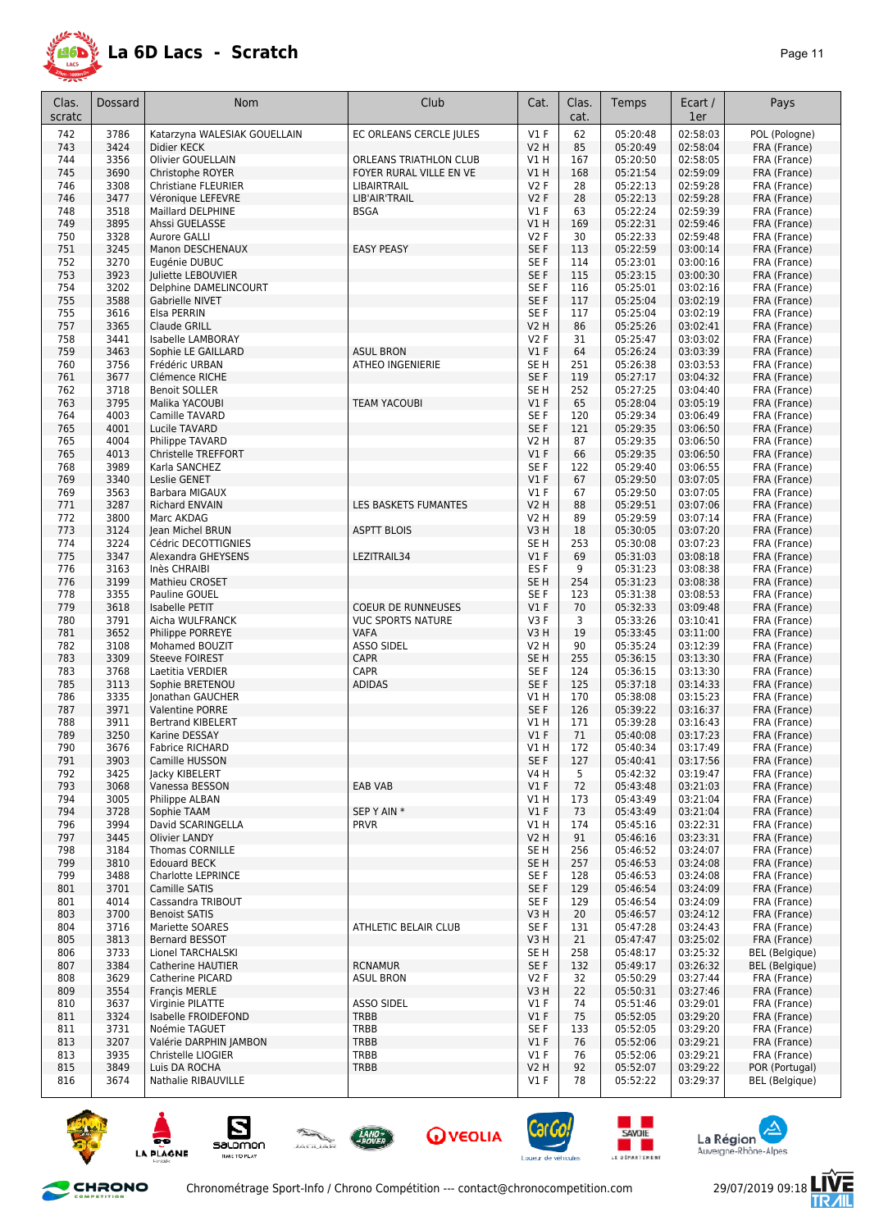

| Clas.<br>scratc | <b>Dossard</b> | <b>Nom</b>                              | Club                      | Cat.                          | Clas.<br>cat. | Temps                | Ecart /<br>1er       | Pays                         |
|-----------------|----------------|-----------------------------------------|---------------------------|-------------------------------|---------------|----------------------|----------------------|------------------------------|
| 742             | 3786           | Katarzyna WALESIAK GOUELLAIN            | EC ORLEANS CERCLE JULES   | $VI$ F                        | 62            | 05:20:48             | 02:58:03             | POL (Pologne)                |
| 743             | 3424           | Didier KECK                             |                           | <b>V2 H</b>                   | 85            | 05:20:49             | 02:58:04             | FRA (France)                 |
| 744             | 3356           | Olivier GOUELLAIN                       | ORLEANS TRIATHLON CLUB    | V1 H                          | 167           | 05:20:50             | 02:58:05             | FRA (France)                 |
| 745             | 3690           | Christophe ROYER                        | FOYER RURAL VILLE EN VE   | V1H                           | 168           | 05:21:54             | 02:59:09             | FRA (France)                 |
| 746             | 3308           | <b>Christiane FLEURIER</b>              | LIBAIRTRAIL               | V2F                           | 28            | 05:22:13             | 02:59:28             | FRA (France)                 |
| 746             | 3477           | Véronique LEFEVRE                       | LIB'AIR'TRAIL             | <b>V2F</b>                    | 28            | 05:22:13             | 02:59:28             | FRA (France)                 |
| 748             | 3518           | Maillard DELPHINE                       | <b>BSGA</b>               | $VI$ F                        | 63            | 05:22:24             | 02:59:39             | FRA (France)                 |
| 749             | 3895           | Ahssi GUELASSE                          |                           | V1 H                          | 169           | 05:22:31             | 02:59:46             | FRA (France)                 |
| 750<br>751      | 3328<br>3245   | Aurore GALLI<br>Manon DESCHENAUX        | <b>EASY PEASY</b>         | <b>V2F</b><br>SE <sub>F</sub> | 30<br>113     | 05:22:33<br>05:22:59 | 02:59:48<br>03:00:14 | FRA (France)<br>FRA (France) |
| 752             | 3270           | Eugénie DUBUC                           |                           | SE <sub>F</sub>               | 114           | 05:23:01             | 03:00:16             | FRA (France)                 |
| 753             | 3923           | Juliette LEBOUVIER                      |                           | SE F                          | 115           | 05:23:15             | 03:00:30             | FRA (France)                 |
| 754             | 3202           | Delphine DAMELINCOURT                   |                           | SE <sub>F</sub>               | 116           | 05:25:01             | 03:02:16             | FRA (France)                 |
| 755             | 3588           | Gabrielle NIVET                         |                           | SE F                          | 117           | 05:25:04             | 03:02:19             | FRA (France)                 |
| 755             | 3616           | Elsa PERRIN                             |                           | SE F                          | 117           | 05:25:04             | 03:02:19             | FRA (France)                 |
| 757             | 3365           | Claude GRILL                            |                           | V2 H                          | 86            | 05:25:26             | 03:02:41             | FRA (France)                 |
| 758             | 3441           | Isabelle LAMBORAY                       |                           | <b>V2F</b>                    | 31            | 05:25:47             | 03:03:02             | FRA (France)                 |
| 759             | 3463           | Sophie LE GAILLARD                      | <b>ASUL BRON</b>          | $VI$ F                        | 64            | 05:26:24             | 03:03:39             | FRA (France)                 |
| 760             | 3756           | Frédéric URBAN                          | ATHEO INGENIERIE          | SE H                          | 251           | 05:26:38             | 03:03:53             | FRA (France)                 |
| 761             | 3677           | Clémence RICHE                          |                           | SE F                          | 119           | 05:27:17             | 03:04:32             | FRA (France)                 |
| 762             | 3718           | <b>Benoit SOLLER</b>                    |                           | SE H                          | 252           | 05:27:25<br>05:28:04 | 03:04:40             | FRA (France)                 |
| 763<br>764      | 3795<br>4003   | Malika YACOUBI<br>Camille TAVARD        | <b>TEAM YACOUBI</b>       | V1F<br>SE <sub>F</sub>        | 65<br>120     | 05:29:34             | 03:05:19<br>03:06:49 | FRA (France)<br>FRA (France) |
| 765             | 4001           | Lucile TAVARD                           |                           | SE <sub>F</sub>               | 121           | 05:29:35             | 03:06:50             | FRA (France)                 |
| 765             | 4004           | Philippe TAVARD                         |                           | V2 H                          | 87            | 05:29:35             | 03:06:50             | FRA (France)                 |
| 765             | 4013           | Christelle TREFFORT                     |                           | V1F                           | 66            | 05:29:35             | 03:06:50             | FRA (France)                 |
| 768             | 3989           | Karla SANCHEZ                           |                           | SE <sub>F</sub>               | 122           | 05:29:40             | 03:06:55             | FRA (France)                 |
| 769             | 3340           | Leslie GENET                            |                           | V1F                           | 67            | 05:29:50             | 03:07:05             | FRA (France)                 |
| 769             | 3563           | Barbara MIGAUX                          |                           | V1F                           | 67            | 05:29:50             | 03:07:05             | FRA (France)                 |
| 771             | 3287           | <b>Richard ENVAIN</b>                   | LES BASKETS FUMANTES      | V2 H                          | 88            | 05:29:51             | 03:07:06             | FRA (France)                 |
| 772             | 3800           | Marc AKDAG                              |                           | V2 H                          | 89            | 05:29:59             | 03:07:14             | FRA (France)                 |
| 773             | 3124           | Jean Michel BRUN                        | <b>ASPTT BLOIS</b>        | V3H                           | 18            | 05:30:05             | 03:07:20             | FRA (France)                 |
| 774             | 3224           | Cédric DECOTTIGNIES                     |                           | SE H                          | 253           | 05:30:08             | 03:07:23             | FRA (France)                 |
| 775             | 3347           | Alexandra GHEYSENS                      | LEZITRAIL34               | $VI$ F                        | 69            | 05:31:03             | 03:08:18             | FRA (France)                 |
| 776             | 3163           | Inès CHRAIBI                            |                           | ES <sub>F</sub>               | 9             | 05:31:23             | 03:08:38             | FRA (France)                 |
| 776<br>778      | 3199<br>3355   | <b>Mathieu CROSET</b><br>Pauline GOUEL  |                           | SE <sub>H</sub><br>SE F       | 254<br>123    | 05:31:23<br>05:31:38 | 03:08:38<br>03:08:53 | FRA (France)<br>FRA (France) |
| 779             | 3618           | Isabelle PETIT                          | <b>COEUR DE RUNNEUSES</b> | V1F                           | 70            | 05:32:33             | 03:09:48             | FRA (France)                 |
| 780             | 3791           | Aicha WULFRANCK                         | <b>VUC SPORTS NATURE</b>  | V3F                           | 3             | 05:33:26             | 03:10:41             | FRA (France)                 |
| 781             | 3652           | Philippe PORREYE                        | VAFA                      | V3H                           | 19            | 05:33:45             | 03:11:00             | FRA (France)                 |
| 782             | 3108           | Mohamed BOUZIT                          | <b>ASSO SIDEL</b>         | V2 H                          | 90            | 05:35:24             | 03:12:39             | FRA (France)                 |
| 783             | 3309           | <b>Steeve FOIREST</b>                   | <b>CAPR</b>               | SE <sub>H</sub>               | 255           | 05:36:15             | 03:13:30             | FRA (France)                 |
| 783             | 3768           | Laetitia VERDIER                        | <b>CAPR</b>               | SE F                          | 124           | 05:36:15             | 03:13:30             | FRA (France)                 |
| 785             | 3113           | Sophie BRETENOU                         | <b>ADIDAS</b>             | SE F                          | 125           | 05:37:18             | 03:14:33             | FRA (France)                 |
| 786             | 3335           | Jonathan GAUCHER                        |                           | V1 H                          | 170           | 05:38:08             | 03:15:23             | FRA (France)                 |
| 787             | 3971           | <b>Valentine PORRE</b>                  |                           | SE F                          | 126           | 05:39:22             | 03:16:37             | FRA (France)                 |
| 788             | 3911           | <b>Bertrand KIBELERT</b>                |                           | V1 H                          | 171           | 05:39:28             | 03:16:43             | FRA (France)                 |
| 789             | 3250           | Karine DESSAY                           |                           | $VI$ F                        | 71            | 05:40:08             | 03:17:23             | FRA (France)                 |
| 790<br>791      | 3676<br>3903   | Fabrice RICHARD<br>Camille HUSSON       |                           | V1 H<br>SE F                  | 172<br>127    | 05:40:34<br>05:40:41 | 03:17:49<br>03:17:56 | FRA (France)<br>FRA (France) |
| 792             | 3425           | Jacky KIBELERT                          |                           | V4 H                          | 5             | 05:42:32             | 03:19:47             | FRA (France)                 |
| 793             | 3068           | Vanessa BESSON                          | <b>EAB VAB</b>            | $VI$ F                        | 72            | 05:43:48             | 03:21:03             | FRA (France)                 |
| 794             | 3005           | Philippe ALBAN                          |                           | V1 H                          | 173           | 05:43:49             | 03:21:04             | FRA (France)                 |
| 794             | 3728           | Sophie TAAM                             | SEP Y AIN *               | $VI$ F                        | 73            | 05:43:49             | 03:21:04             | FRA (France)                 |
| 796             | 3994           | David SCARINGELLA                       | <b>PRVR</b>               | V1 H                          | 174           | 05:45:16             | 03:22:31             | FRA (France)                 |
| 797             | 3445           | Olivier LANDY                           |                           | V2 H                          | 91            | 05:46:16             | 03:23:31             | FRA (France)                 |
| 798             | 3184           | Thomas CORNILLE                         |                           | SE H                          | 256           | 05:46:52             | 03:24:07             | FRA (France)                 |
| 799             | 3810           | <b>Edouard BECK</b>                     |                           | SE H                          | 257           | 05:46:53             | 03:24:08             | FRA (France)                 |
| 799             | 3488           | <b>Charlotte LEPRINCE</b>               |                           | SE F                          | 128           | 05:46:53             | 03:24:08             | FRA (France)                 |
| 801             | 3701           | Camille SATIS                           |                           | SE F                          | 129           | 05:46:54             | 03:24:09             | FRA (France)                 |
| 801             | 4014           | Cassandra TRIBOUT                       |                           | SE F                          | 129           | 05:46:54             | 03:24:09             | FRA (France)                 |
| 803<br>804      | 3700<br>3716   | <b>Benoist SATIS</b><br>Mariette SOARES | ATHLETIC BELAIR CLUB      | V3 H<br>SE F                  | 20            | 05:46:57<br>05:47:28 | 03:24:12<br>03:24:43 | FRA (France)<br>FRA (France) |
| 805             | 3813           |                                         |                           | V3 H                          | 131<br>21     | 05:47:47             | 03:25:02             | FRA (France)                 |
| 806             | 3733           | Bernard BESSOT<br>Lionel TARCHALSKI     |                           | SE H                          | 258           | 05:48:17             | 03:25:32             | <b>BEL</b> (Belgique)        |
| 807             | 3384           | Catherine HAUTIER                       | <b>RCNAMUR</b>            | SE F                          | 132           | 05:49:17             | 03:26:32             | BEL (Belgique)               |
| 808             | 3629           | Catherine PICARD                        | <b>ASUL BRON</b>          | V2F                           | 32            | 05:50:29             | 03:27:44             | FRA (France)                 |
| 809             | 3554           | <b>Francis MERLE</b>                    |                           | V3 H                          | 22            | 05:50:31             | 03:27:46             | FRA (France)                 |
| 810             | 3637           | Virginie PILATTE                        | <b>ASSO SIDEL</b>         | $VI$ F                        | 74            | 05:51:46             | 03:29:01             | FRA (France)                 |
| 811             | 3324           | Isabelle FROIDEFOND                     | TRBB                      | $VI$ F                        | 75            | 05:52:05             | 03:29:20             | FRA (France)                 |
| 811             | 3731           | Noémie TAGUET                           | TRBB                      | SE F                          | 133           | 05:52:05             | 03:29:20             | FRA (France)                 |
| 813             | 3207           | Valérie DARPHIN JAMBON                  | <b>TRBB</b>               | $VI$ F                        | 76            | 05:52:06             | 03:29:21             | FRA (France)                 |
| 813             | 3935           | Christelle LIOGIER                      | TRBB                      | $VI$ F                        | 76            | 05:52:06             | 03:29:21             | FRA (France)                 |
| 815             | 3849           | Luis DA ROCHA                           | TRBB                      | V2 H                          | 92            | 05:52:07             | 03:29:22             | POR (Portugal)               |
| 816             | 3674           | Nathalie RIBAUVILLE                     |                           | $VI$ F                        | 78            | 05:52:22             | 03:29:37             | <b>BEL</b> (Belgique)        |



CHRONO